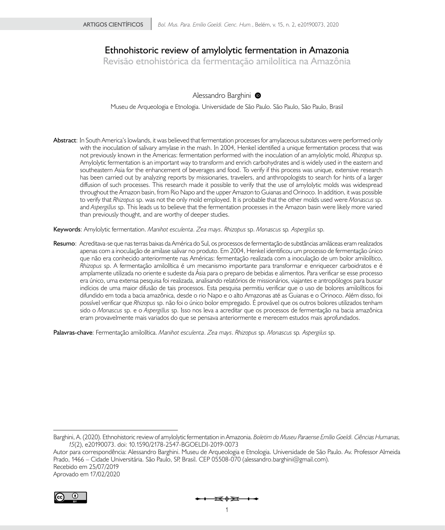# **Ethnohistoric review of amylolytic fermentation in Amazonia**

**Revisão etnohistórica da fermentação amilolítica na Amazônia**

# Alessandro Barghini <sup>O</sup>

Museu de Arqueologia e Etnologia. Universidade de São Paulo. São Paulo, São Paulo, Brasil

**Abstract**: In South America's lowlands, it was believed that fermentation processes for amylaceous substances were performed only with the inoculation of salivary amylase in the mash. In 2004, Henkel identified a unique fermentation process that was not previously known in the Americas: fermentation performed with the inoculation of an amylolytic mold, *Rhizopus* sp. Amylolytic fermentation is an important way to transform and enrich carbohydrates and is widely used in the eastern and southeastern Asia for the enhancement of beverages and food. To verify if this process was unique, extensive research has been carried out by analyzing reports by missionaries, travelers, and anthropologists to search for hints of a larger diffusion of such processes. This research made it possible to verify that the use of amylolytic molds was widespread throughout the Amazon basin, from Rio Napo and the upper Amazon to Guianas and Orinoco. In addition, it was possible to verify that *Rhizopus* sp. was not the only mold employed. It is probable that the other molds used were *Monascus* sp. and *Aspergillus* sp. This leads us to believe that the fermentation processes in the Amazon basin were likely more varied than previously thought, and are worthy of deeper studies.

**Keywords**: Amylolytic fermentation. *Manihot esculenta*. *Zea mays*. *Rhizopus* sp. *Monascus* sp*. Aspergilus* sp.

**Resumo**: Acreditava-se que nas terras baixas da América do Sul, os processos de fermentação de substâncias amiláceas eram realizados apenas com a inoculação de amilase salivar no produto. Em 2004, Henkel identificou um processo de fermentação único que não era conhecido anteriormente nas Américas: fermentação realizada com a inoculação de um bolor amilolítico, *Rhizopus* sp. A fermentação amilolítica é um mecanismo importante para transformar e enriquecer carboidratos e é amplamente utilizada no oriente e sudeste da Ásia para o preparo de bebidas e alimentos. Para verificar se esse processo era único, uma extensa pesquisa foi realizada, analisando relatórios de missionários, viajantes e antropólogos para buscar indícios de uma maior difusão de tais processos. Esta pesquisa permitiu verificar que o uso de bolores amilolíticos foi difundido em toda a bacia amazônica, desde o rio Napo e o alto Amazonas até as Guianas e o Orinoco. Além disso, foi possível verificar que *Rhizopus* sp. não foi o único bolor empregado. É provável que os outros bolores utilizados tenham sido o *Monascus* sp. e o *Aspergillus* sp. Isso nos leva a acreditar que os processos de fermentação na bacia amazônica eram provavelmente mais variados do que se pensava anteriormente e merecem estudos mais aprofundados.

**Palavras-chave**: Fermentação amilolítica. *Manihot esculenta*. *Zea mays*. *Rhizopus* sp. *Monascus* sp*. Aspergilus* sp.

**BY**

Barghini, A. (2020). Ethnohistoric review of amylolytic fermentation in Amazonia. *Boletim do Museu Paraense Emílio Goeldi. Ciências Humanas, 15*(2), e20190073. doi: 10.1590/2178-2547-BGOELDI-2019-0073

Autor para correspondência: Alessandro Barghini. Museu de Arqueologia e Etnologia. Universidade de São Paulo. Av. Professor Almeida Prado, 1466 – Cidade Universitária. São Paulo, SP, Brasil. CEP 05508-070 [\(alessandro.barghini@gmail.com](mailto:(alessandro.barghini@gmail.com)). Recebido em 25/07/2019 Aprovado em 17/02/2020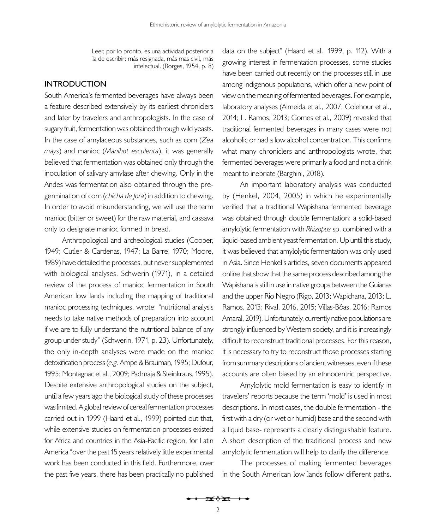Leer, por lo pronto, es una actividad posterior a la de escribir: más resignada, más mas civil, más intelectual. [\(Borges, 1954](#page-19-0), p. 8)

# **INTRODUCTION**

South America's fermented beverages have always been a feature described extensively by its earliest chroniclers and later by travelers and anthropologists. In the case of sugary fruit, fermentation was obtained through wild yeasts. In the case of amylaceous substances, such as corn (*Zea mays*) and manioc (*Manihot esculenta*), it was generally believed that fermentation was obtained only through the inoculation of salivary amylase after chewing. Only in the Andes was fermentation also obtained through the pregermination of corn (*chicha de Jora*) in addition to chewing. In order to avoid misunderstanding, we will use the term manioc (bitter or sweet) for the raw material, and cassava only to designate manioc formed in bread.

Anthropological and archeological studies [\(Cooper,](#page-19-1) [1949](#page-19-1); [Cutler & Cardenas, 1947;](#page-19-2) [La Barre, 1970;](#page-20-0) [Moore,](#page-20-1)  [1989](#page-20-1)) have detailed the processes, but never supplemented with biological analyses. [Schwerin \(1971\),](#page-21-0) in a detailed review of the process of manioc fermentation in South American low lands including the mapping of traditional manioc processing techniques, wrote: "nutritional analysis needs to take native methods of preparation into account if we are to fully understand the nutritional balance of any group under study" ([Schwerin, 1971,](#page-21-0) p. 23). Unfortunately, the only in-depth analyses were made on the manioc detoxification process (*e.g.* [Ampe & Brauman, 1995;](#page-18-0) [Dufour,](#page-19-3)  [1995](#page-19-3); [Montagnac et al., 2009](#page-20-2); [Padmaja & Steinkraus, 1995\)](#page-21-1). Despite extensive anthropological studies on the subject, until a few years ago the biological study of these processes was limited. A global review of cereal fermentation processes carried out in 1999 [\(Haard et al., 1999\)](#page-20-3) pointed out that, while extensive studies on fermentation processes existed for Africa and countries in the Asia-Pacific region, for Latin America "over the past 15 years relatively little experimental work has been conducted in this field. Furthermore, over the past five years, there has been practically no published data on the subject" ([Haard et al., 1999,](#page-20-3) p. 112). With a growing interest in fermentation processes, some studies have been carried out recently on the processes still in use among indigenous populations, which offer a new point of view on the meaning of fermented beverages. For example, laboratory analyses [\(Almeida et al., 2007;](#page-18-1) [Colehour et al.,](#page-19-4)  [2014](#page-19-4); L. [Ramos, 2013](#page-21-2); [Gomes et al., 2009\)](#page-19-5) revealed that traditional fermented beverages in many cases were not alcoholic or had a low alcohol concentration. This confirms what many chroniclers and anthropologists wrote, that fermented beverages were primarily a food and not a drink meant to inebriate [\(Barghini, 2018](#page-18-2)).

An important laboratory analysis was conducted by [\(Henkel, 2004](#page-20-4), [2005\)](#page-20-5) in which he experimentally verified that a traditional Wapishana fermented beverage was obtained through double fermentation: a solid-based amylolytic fermentation with *Rhizopus* sp. combined with a liquid-based ambient yeast fermentation. Up until this study, it was believed that amylolytic fermentation was only used in Asia. Since Henkel's articles, seven documents appeared online that show that the same process described among the Wapishana is still in use in native groups between the Guianas and the upper Rio Negro [\(Rigo, 2013](#page-21-3); Wapichana, 2013; L. [Ramos, 2013;](#page-21-2) [Rival, 2016,](#page-21-4) [2015](#page-21-5); Villas-Bôas, 2016; [Ramos](#page-21-6) [Amaral, 2019\)](#page-21-6). Unfortunately, currently native populations are strongly influenced by Western society, and it is increasingly difficult to reconstruct traditional processes. For this reason, it is necessary to try to reconstruct those processes starting from summary descriptions of ancient witnesses, even if these accounts are often biased by an ethnocentric perspective.

Amylolytic mold fermentation is easy to identify in travelers' reports because the term 'mold' is used in most descriptions. In most cases, the double fermentation - the first with a dry (or wet or humid) base and the second with a liquid base- represents a clearly distinguishable feature. A short description of the traditional process and new amylolytic fermentation will help to clarify the difference.

The processes of making fermented beverages in the South American low lands follow different paths.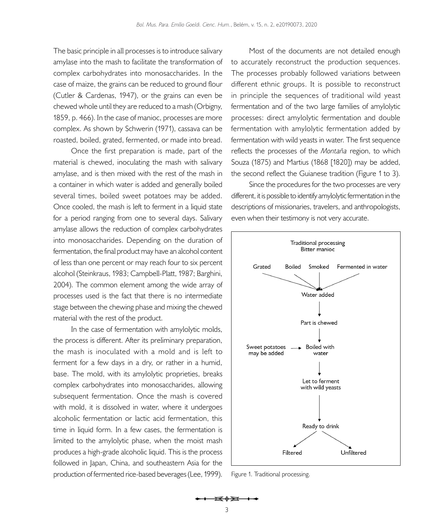The basic principle in all processes is to introduce salivary amylase into the mash to facilitate the transformation of complex carbohydrates into monosaccharides. In the case of maize, the grains can be reduced to ground flour ([Cutler & Cardenas, 1947](#page-19-2)), or the grains can even be chewed whole until they are reduced to a mash [\(Orbigny,](#page-20-6)  [1859](#page-20-6), p. 466). In the case of manioc, processes are more complex. As shown by [Schwerin \(1971\),](#page-21-0) cassava can be roasted, boiled, grated, fermented, or made into bread.

Once the first preparation is made, part of the material is chewed, inoculating the mash with salivary amylase, and is then mixed with the rest of the mash in a container in which water is added and generally boiled several times, boiled sweet potatoes may be added. Once cooled, the mash is left to ferment in a liquid state for a period ranging from one to several days. Salivary amylase allows the reduction of complex carbohydrates into monosaccharides. Depending on the duration of fermentation, the final product may have an alcohol content of less than one percent or may reach four to six percent alcohol [\(Steinkraus, 1983](#page-21-7); [Campbell-Platt, 1987;](#page-19-6) Barghini, 2004). The common element among the wide array of processes used is the fact that there is no intermediate stage between the chewing phase and mixing the chewed material with the rest of the product.

In the case of fermentation with amylolytic molds, the process is different. After its preliminary preparation, the mash is inoculated with a mold and is left to ferment for a few days in a dry, or rather in a humid, base. The mold, with its amylolytic proprieties, breaks complex carbohydrates into monosaccharides, allowing subsequent fermentation. Once the mash is covered with mold, it is dissolved in water, where it undergoes alcoholic fermentation or lactic acid fermentation, this time in liquid form. In a few cases, the fermentation is limited to the amylolytic phase, when the moist mash produces a high-grade alcoholic liquid. This is the process followed in Japan, China, and southeastern Asia for the production of fermented rice-based beverages [\(Lee, 1999\)](#page-20-7).

Most of the documents are not detailed enough to accurately reconstruct the production sequences. The processes probably followed variations between different ethnic groups. It is possible to reconstruct in principle the sequences of traditional wild yeast fermentation and of the two large families of amylolytic processes: direct amylolytic fermentation and double fermentation with amylolytic fermentation added by fermentation with wild yeasts in water. The first sequence reflects the processes of the *Montaña* region, to which [Souza \(1875\)](#page-21-8) and [Martius \(1868 \[1820\]\)](#page-20-8) may be added, the second reflect the Guianese tradition [\(Figure 1](#page-2-0) to [3](#page-3-0)).

Since the procedures for the two processes are very different, it is possible to identify amylolytic fermentation in the descriptions of missionaries, travelers, and anthropologists, even when their testimony is not very accurate.



<span id="page-2-0"></span>Figure 1. Traditional processing.

<del>R</del>⊕<del>R</del>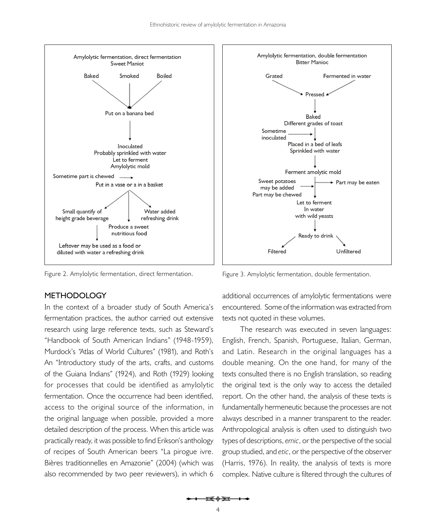

# **METHODOLOGY**

In the context of a broader study of South America's fermentation practices, the author carried out extensive research using large reference texts, such as [Steward's](#page-21-9)  ["Handbook of South American Indians" \(1948-1959\)](#page-21-9), [Murdock's "Atlas of World Cultures" \(1981\),](#page-20-9) and [Roth's](#page-21-10)  [An "Introductory study of the arts, crafts, and customs](#page-21-10) [of the Guiana Indians" \(1924\)](#page-21-10), and [Roth \(1929\)](#page-21-11) looking for processes that could be identified as amylolytic fermentation. Once the occurrence had been identified, access to the original source of the information, in the original language when possible, provided a more detailed description of the process. When this article was practically ready, it was possible to find Erikson's anthology of recipes of South American beers ["La pirogue ivre.](#page-19-7) [Bières traditionnelles en Amazonie" \(2004\)](#page-19-7) (which was also recommended by two peer reviewers), in which 6



Figure 2. Amylolytic fermentation, direct fermentation. Figure 3. Amylolytic fermentation, double fermentation.

<span id="page-3-0"></span>additional occurrences of amylolytic fermentations were encountered. Some of the information was extracted from texts not quoted in these volumes.

The research was executed in seven languages: English, French, Spanish, Portuguese, Italian, German, and Latin. Research in the original languages has a double meaning. On the one hand, for many of the texts consulted there is no English translation, so reading the original text is the only way to access the detailed report. On the other hand, the analysis of these texts is fundamentally hermeneutic because the processes are not always described in a manner transparent to the reader. Anthropological analysis is often used to distinguish two types of descriptions, *emic*, or the perspective of the social group studied, and *etic*, or the perspective of the observer ([Harris, 1976](#page-20-10)). In reality, the analysis of texts is more complex. Native culture is filtered through the cultures of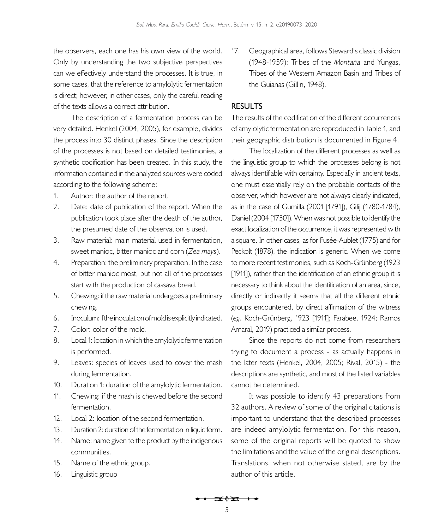the observers, each one has his own view of the world. Only by understanding the two subjective perspectives can we effectively understand the processes. It is true, in some cases, that the reference to amylolytic fermentation is direct; however, in other cases, only the careful reading of the texts allows a correct attribution.

The description of a fermentation process can be very detailed. [Henkel \(2004,](#page-20-4) [2005](#page-20-5)), for example, divides the process into 30 distinct phases. Since the description of the processes is not based on detailed testimonies, a synthetic codification has been created. In this study, the information contained in the analyzed sources were coded according to the following scheme:

- 1. Author: the author of the report.
- 2. Date: date of publication of the report. When the publication took place after the death of the author, the presumed date of the observation is used.
- 3. Raw material: main material used in fermentation, sweet manioc, bitter manioc and corn (*Zea mays*).
- 4. Preparation: the preliminary preparation. In the case of bitter manioc most, but not all of the processes start with the production of cassava bread.
- 5. Chewing: if the raw material undergoes a preliminary chewing.
- 6. Inoculum: if the inoculation of mold is explicitly indicated.
- 7. Color: color of the mold.
- 8. Local 1: location in which the amylolytic fermentation is performed.
- 9. Leaves: species of leaves used to cover the mash during fermentation.
- 10. Duration 1: duration of the amylolytic fermentation.
- 11. Chewing: if the mash is chewed before the second fermentation.
- 12. Local 2: location of the second fermentation.
- 13. Duration 2: duration of the fermentation in liquid form.
- 14. Name: name given to the product by the indigenous communities.
- 15. Name of the ethnic group.
- 16. Linguistic group

17. Geographical area, follows [Steward's classic division](#page-21-9)  [\(1948-1959\)](#page-21-9): Tribes of the *Montaña* and Yungas, Tribes of the Western Amazon Basin and Tribes of the Guianas [\(Gillin, 1948\)](#page-19-8).

# **RESULTS**

The results of the codification of the different occurrences of amylolytic fermentation are reproduced in [Table 1,](#page-5-0) and their geographic distribution is documented in [Figure 4.](#page-7-0)

The localization of the different processes as well as the linguistic group to which the processes belong is not always identifiable with certainty. Especially in ancient texts, one must essentially rely on the probable contacts of the observer, which however are not always clearly indicated, as in the case of [Gumilla \(2001 \[1791\]\),](#page-20-11) [Gilij \(1780-1784\)](#page-19-9), [Daniel \(2004 \[1750\]\)](#page-19-10). When was not possible to identify the exact localization of the occurrence, it was represented with a square. In other cases, as for Fusée-Aublet (1775) and for [Peckolt \(1878\)](#page-21-12), the indication is generic. When we come to more recent testimonies, such as Koch-Grünberg (1923 [1911]), rather than the identification of an ethnic group it is necessary to think about the identification of an area, since, directly or indirectly it seems that all the different ethnic groups encountered, by direct affirmation of the witness (*eg*. Koch-Grünberg, 1923 [1911]; [Farabee, 1924](#page-19-11); [Ramos](#page-21-6) [Amaral, 2019](#page-21-6)) practiced a similar process.

Since the reports do not come from researchers trying to document a process - as actually happens in the later texts ([Henkel, 2004,](#page-20-4) [2005](#page-20-5); [Rival, 2015](#page-21-5)) - the descriptions are synthetic, and most of the listed variables cannot be determined.

It was possible to identify 43 preparations from 32 authors. A review of some of the original citations is important to understand that the described processes are indeed amylolytic fermentation. For this reason, some of the original reports will be quoted to show the limitations and the value of the original descriptions. Translations, when not otherwise stated, are by the author of this article.

<del>i≼≬∑i +∢</del>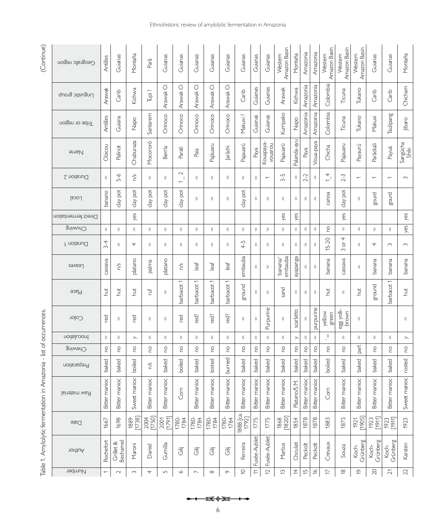| (Continue)                                                         | Geografic region    | Antilles                 | Guianas               | Montaña                                                                                                                                                                                                                                                                                                                                                                                                                                                                                                                                                              | Parà           | Guianas        | Guianas                                   | Guianas                      | Guianas       | Guianas             | Guianas             | Guianas        | Guianas                  | Amazon Basin<br>Western | Montaña                                                                                                                                                                                                                                                                                                                                                                                                                                                                                                                                                              | Amazonia       | Amazonia       | Amazon Basin<br>Western | Amazon Basin<br>Western                     | Amazon Basin<br>Western  | Guianas                  | Guianas                  | Montaña                                                                                                                                                                                                                                                                                                                                                                                                                                                                                                                                                              |
|--------------------------------------------------------------------|---------------------|--------------------------|-----------------------|----------------------------------------------------------------------------------------------------------------------------------------------------------------------------------------------------------------------------------------------------------------------------------------------------------------------------------------------------------------------------------------------------------------------------------------------------------------------------------------------------------------------------------------------------------------------|----------------|----------------|-------------------------------------------|------------------------------|---------------|---------------------|---------------------|----------------|--------------------------|-------------------------|----------------------------------------------------------------------------------------------------------------------------------------------------------------------------------------------------------------------------------------------------------------------------------------------------------------------------------------------------------------------------------------------------------------------------------------------------------------------------------------------------------------------------------------------------------------------|----------------|----------------|-------------------------|---------------------------------------------|--------------------------|--------------------------|--------------------------|----------------------------------------------------------------------------------------------------------------------------------------------------------------------------------------------------------------------------------------------------------------------------------------------------------------------------------------------------------------------------------------------------------------------------------------------------------------------------------------------------------------------------------------------------------------------|
|                                                                    | Linguistic group    | Arawak                   | Carib                 | Kichwa                                                                                                                                                                                                                                                                                                                                                                                                                                                                                                                                                               | Tupi ?         | Arawak O.      | Arawak O.                                 | Arawak O.                    | Arawak O.     | Arawak O            | Carib               | Guianas        | Guianas                  | Arawak                  | Kichwa                                                                                                                                                                                                                                                                                                                                                                                                                                                                                                                                                               | Amazonia       | Amazonia       | Colombia                | Ticuna                                      | Tukano                   | Carib                    | Carib                    | Chicham                                                                                                                                                                                                                                                                                                                                                                                                                                                                                                                                                              |
|                                                                    | Tribe or region     | Antilles                 | Guiana                | $\sum_{i=1}^{n}$                                                                                                                                                                                                                                                                                                                                                                                                                                                                                                                                                     | Santarem       | Orinoco        | Orinoco                                   | Orinoco                      | Orinoco       | Orinoco             | Makuxi              | Guianas        | Guianas                  | Kurripako               | Napo                                                                                                                                                                                                                                                                                                                                                                                                                                                                                                                                                                 | Amazonia       | Amazonia       | Colombia                | Ticuna                                      | Tukano                   | Makuxi                   | Taulipang                | jibaro                                                                                                                                                                                                                                                                                                                                                                                                                                                                                                                                                               |
|                                                                    | <b>Mame</b>         | Oüicou                   | Palinot               | Chaburaza                                                                                                                                                                                                                                                                                                                                                                                                                                                                                                                                                            | Mocororó       | Berría         | Parati                                    | Paia                         | Pajàuaru      | Jaràchi             | Pajauarú            | Paya           | Kouapaya-<br>vouarou     | Pajauarü                | Palanda-ayu                                                                                                                                                                                                                                                                                                                                                                                                                                                                                                                                                          | Paya           | Voua-paya      | Chicha                  | Pajauaru                                    | Payaurú                  | Paráckali                | Payuá                    | Sangúcha<br>Shiki                                                                                                                                                                                                                                                                                                                                                                                                                                                                                                                                                    |
|                                                                    | Duration 2          | $\mathbb{I}$             | $5 - 6$               | n/s                                                                                                                                                                                                                                                                                                                                                                                                                                                                                                                                                                  | $\vert\vert$   | Ш              | $\sim$<br>- 1<br>$\overline{\phantom{0}}$ | Ш                            | $\vert\vert$  | Ш                   | Ш                   | $\parallel$    | $\overline{\phantom{0}}$ | $3 - 5$                 | Ш                                                                                                                                                                                                                                                                                                                                                                                                                                                                                                                                                                    | $2 - 2$        | Ш              | $\frac{1}{4}$           | $2 - 3$                                     | $\overline{\phantom{0}}$ | $\overline{\phantom{0}}$ | $\overline{\phantom{0}}$ | $\sim$                                                                                                                                                                                                                                                                                                                                                                                                                                                                                                                                                               |
|                                                                    | [OCS]               | banano                   | day pot               | pot<br>$da\gamma$                                                                                                                                                                                                                                                                                                                                                                                                                                                                                                                                                    | day pot        | $day$ pot      | $day$ pot                                 | Ш                            | $\mathsf{I}$  | $\parallel$         | day pot             | Ш              | Ш                        | Ш                       | Ш                                                                                                                                                                                                                                                                                                                                                                                                                                                                                                                                                                    |                | Ш              | canoa                   | pot<br>$d\mathsf{a}$                        |                          | gourd                    | gourd                    |                                                                                                                                                                                                                                                                                                                                                                                                                                                                                                                                                                      |
|                                                                    | Direct fermentation |                          |                       | yes                                                                                                                                                                                                                                                                                                                                                                                                                                                                                                                                                                  |                |                |                                           |                              |               |                     |                     |                |                          | yes                     | yes                                                                                                                                                                                                                                                                                                                                                                                                                                                                                                                                                                  |                |                |                         | yes                                         |                          |                          |                          | yes                                                                                                                                                                                                                                                                                                                                                                                                                                                                                                                                                                  |
|                                                                    | Chuwing             | Ш                        | 11                    | $\vert\vert$                                                                                                                                                                                                                                                                                                                                                                                                                                                                                                                                                         | $\vert\vert$   | Ш              | $\parallel$                               | Ш                            | Ш             | Ш                   | Ш                   | $\parallel$    | Ш                        | $\mathsf{I}$            | Ш                                                                                                                                                                                                                                                                                                                                                                                                                                                                                                                                                                    | Ш              | $\parallel$    | 0q                      | II                                          | $\mathbb{I}$             | Ш                        | Ш                        | yes                                                                                                                                                                                                                                                                                                                                                                                                                                                                                                                                                                  |
|                                                                    | Duration 1          | $3 - 4$                  | 11                    | 4                                                                                                                                                                                                                                                                                                                                                                                                                                                                                                                                                                    | Ш              | Ш              | Ш                                         | Ш                            | Ш             | Ш                   | $4 - 5$             | $\parallel$    | Ш                        | Ш                       | Ш                                                                                                                                                                                                                                                                                                                                                                                                                                                                                                                                                                    | Ш              | Ш              | $15 - 20$               | 4<br>$\overleftarrow{\mathrm{o}}$<br>$\sim$ | H.                       | 4                        | $\sim$                   | $\sim$                                                                                                                                                                                                                                                                                                                                                                                                                                                                                                                                                               |
|                                                                    | Leaves              | cassava                  | η/s                   | platano                                                                                                                                                                                                                                                                                                                                                                                                                                                                                                                                                              | palma          | platano        | η/s                                       | leaf                         | leaf          | leaf                | embauba             | Ш              | $\parallel$              | embauba<br>banana/      | ayapanga                                                                                                                                                                                                                                                                                                                                                                                                                                                                                                                                                             |                | Ш              | banana                  | cassava                                     | Ш                        | banana                   | banana                   | banana                                                                                                                                                                                                                                                                                                                                                                                                                                                                                                                                                               |
|                                                                    | Place               | $\frac{1}{2}$            | hut                   | hut                                                                                                                                                                                                                                                                                                                                                                                                                                                                                                                                                                  | fL,            | Ш              | barbacot 1                                | barbacot 1                   | barbacot 1    | barbacot            | ground              | Ш              | Ш                        | sand                    | $\mid \mid$                                                                                                                                                                                                                                                                                                                                                                                                                                                                                                                                                          | Ш              | $\, \parallel$ | hut                     | Ш                                           | <b>hut</b>               | ground                   | barbacot 1               | hut                                                                                                                                                                                                                                                                                                                                                                                                                                                                                                                                                                  |
|                                                                    | Color               | red                      | Ш                     | red                                                                                                                                                                                                                                                                                                                                                                                                                                                                                                                                                                  | $\vert\vert$   | Ш              | red                                       | red?                         | red?          | red?                | Ш                   | Ш              | Purpurine                | Ш                       | scarlatto                                                                                                                                                                                                                                                                                                                                                                                                                                                                                                                                                            |                | purpurine      | yellow<br>green         | egg yolk-<br>brown                          | Ш                        |                          |                          | 11                                                                                                                                                                                                                                                                                                                                                                                                                                                                                                                                                                   |
|                                                                    | Inoculation         | $\parallel$              | 11                    | $\left. \right. \right. \left. \right. \left. \right. \left. \right. \left. \right. \left. \left. \right. \left. \right. \left. \right. \left. \left. \right. \right. \left. \left. \right. \left. \right. \left. \left. \right. \right. \left. \left. \right. \left. \left. \right. \right. \left. \left. \right. \right. \left. \left. \right. \left. \right. \left. \right. \left. \right. \left. \left. \right. \right. \left. \left. \right. \right. \left. \left. \right. \left. \left. \right. \right. \left. \left. \right. \right. \left. \left. \right. \$ | Ш              | Ш              | Ш                                         | Ш                            | $\parallel$   | $\vert\vert$        | Ш                   | Ш              | $\mathop{  }$            | Ш                       | $\left. \right. \right. \left. \right. \left. \right. \left. \right. \left. \right. \left. \left. \right. \left. \right. \left. \right. \left. \right. \left. \left. \right. \right. \left. \left. \right. \left. \left. \right. \right. \left. \left. \right. \right. \left. \left. \right. \left. \left. \right. \right. \left. \left. \right. \right. \left. \left. \right. \right. \left. \left. \right. \right. \left. \left. \right. \left. \left. \right. \right. \left. \left. \right. \right. \left. \left. \right. \left. \left. \right. \right. \left. \$ |                | $\vert\vert$   | $\tilde{\mathcal{L}}$   | $\mathop{  }$                               | Ш                        | Ш                        | Ш                        | $\left. \right. \right. \left. \right. \left. \right. \left. \right. \left. \right. \left. \left. \right. \left. \right. \left. \right. \left. \left. \right. \right. \left. \left. \right. \left. \left. \right. \right. \left. \left. \right. \left. \right. \left. \left. \right. \right. \left. \left. \right. \right. \left. \left. \right. \left. \left. \right. \right. \left. \left. \right. \right. \left. \left. \right. \right. \left. \left. \right. \right. \left. \left. \right. \left. \left. \right. \right. \left. \left. \right. \right. \left. \$ |
|                                                                    | Chewing             | $\mathop{\mathsf{C}}$    | 0                     | $\mathop{\mathsf{C}}$                                                                                                                                                                                                                                                                                                                                                                                                                                                                                                                                                | S              | 0u             | 0                                         | 0u                           | ě             | 0u                  | 0                   | $\overline{c}$ | 0q                       | 0                       | <b>PO</b>                                                                                                                                                                                                                                                                                                                                                                                                                                                                                                                                                            | S              | <b>PO</b>      | 0q                      | 0q                                          | part                     | 0                        | S                        | $\stackrel{\circ}{\scriptstyle\circ}$                                                                                                                                                                                                                                                                                                                                                                                                                                                                                                                                |
|                                                                    | Preparation         | baked                    | baked                 | boiled                                                                                                                                                                                                                                                                                                                                                                                                                                                                                                                                                               | n/s            | baked          | boiled                                    | baked                        | tosted        | burned              | baked               | baked          | baked                    | baked                   | baked                                                                                                                                                                                                                                                                                                                                                                                                                                                                                                                                                                | baked          | baked          | boiled                  | baked                                       | baked                    | baked                    | baked                    | rosted                                                                                                                                                                                                                                                                                                                                                                                                                                                                                                                                                               |
| Table 1. Amylolytic fermentation in Amazonia - list of occurrences | <b>Raw material</b> | Bitter manioc            | Bitter manioc         | Sweet manioc                                                                                                                                                                                                                                                                                                                                                                                                                                                                                                                                                         | Bitter manioc  | Bitter manioc  | Com                                       | Bitter manioc                | Bitter manioc | Bitter manioc       | Bitter manioc       | Bitter manioc  | Bitter manioc            | Bitter manioc           | Platano/S.M.                                                                                                                                                                                                                                                                                                                                                                                                                                                                                                                                                         | Bitter manioc  | Bitter manioc  | Com                     | Bitter manioc                               | Bitter manioc            | Bitter manioc            | Bitter manioc            | Sweet manioc                                                                                                                                                                                                                                                                                                                                                                                                                                                                                                                                                         |
|                                                                    | <b>Date</b>         | 1667                     | 1698                  | [1738]<br>1889                                                                                                                                                                                                                                                                                                                                                                                                                                                                                                                                                       | 2004<br>[1750] | [1791]<br>2001 | 1780-<br>1784                             | 1780-<br>1784                | 1780-<br>1784 | $\frac{1780}{1784}$ | 1888 [ca.]<br>1792] | 1775           | 1775                     | [1868]                  | 1854                                                                                                                                                                                                                                                                                                                                                                                                                                                                                                                                                                 | 1878           | 1878           | 1883                    | 1875                                        | 1921<br>[1905]           | [1911]<br>1923           | [1911]<br>1923           | 1923                                                                                                                                                                                                                                                                                                                                                                                                                                                                                                                                                                 |
|                                                                    | nodtuA              | Rochefort                | Grillet &<br>Bechamel | Maroni                                                                                                                                                                                                                                                                                                                                                                                                                                                                                                                                                               | Daniel         | Gumilla        | 這                                         | $\overleftarrow{\mathbb{G}}$ | Gilj          | 這                   | Ferreira            | Fusée-Aublet   | Fusée-Aublet             | Martius                 | Osculati                                                                                                                                                                                                                                                                                                                                                                                                                                                                                                                                                             | Peckolt        | Peckolt        | Crevaux                 | Souza                                       | Grünberg<br>Koch-        | Grünberg<br>Koch-        | Grünberg<br>Koch-        | Karsten                                                                                                                                                                                                                                                                                                                                                                                                                                                                                                                                                              |
|                                                                    | Number              | $\overline{\phantom{0}}$ | $\sim$                | $\sim$                                                                                                                                                                                                                                                                                                                                                                                                                                                                                                                                                               | 4              | $\overline{5}$ | $\circ$                                   | $\overline{\phantom{0}}$     | $\infty$      | $\circ$             | $\subseteq$         | $\equiv$       | $\overline{C}$           | $\tilde{\omega}$        | $\overline{4}$                                                                                                                                                                                                                                                                                                                                                                                                                                                                                                                                                       | $\overline{5}$ | $\frac{8}{5}$  | Þ                       | $\frac{8}{2}$                               | $\overline{6}$           | $\gtrsim$                | $\tilde{\sim}$           | $22\,$                                                                                                                                                                                                                                                                                                                                                                                                                                                                                                                                                               |

<span id="page-5-0"></span><del>छ≬⊠ ।◆</del> .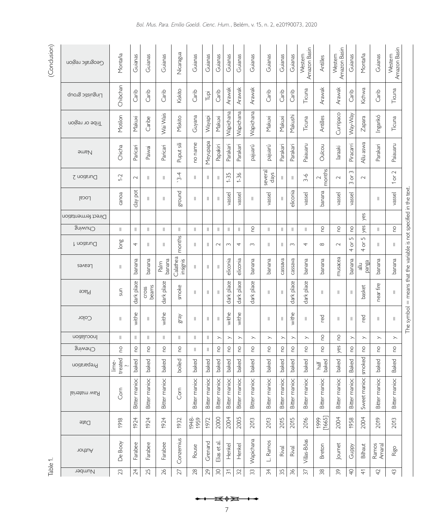# $(Conclusion)$ Table 1. (Conclusion)

| (Conclusion) | Geografic region    | Montaña               | Guianas               | Guianas                                                                                                                                                                                                                                                                                                                                                                                 | Guianas        | Nicaragua            | Guianas       | Guianas                 | Guianas                                                                                                                                                                                                                                                                                                                                                                                                                                                                                                                                                              | Guianas                                                                                                                                                                                                                                                                                                                                                                                                                                                                                                                                                              | Guianas                                                                                                                                                                                                                                                                                                                                                                                                                                                                                                                                                              | Guianas                                                                                                                                                                                                                                                                                                                                                                                                                                                                                                                                                              | Guianas                                                                                                                                                                                                                                                                                                                                                                                                                                                                                                                                                              | Guianas                                                                                                                                                                                                                                                                                                                                                                                                                                                                                                                                                              | Guianas                                                                                                                                                                                                                                                                                                                                                                                                                                                                                                                                                              | Amazon Basin<br>Western                                                                                                                                                                                                                                                                                                                                                                                                                                                                                                                                             | Antilles         | Amazon Basin<br>Western | Guianas                                          | Montaña                                                                                                                                                                                                                                                                                                                                                                                                                                                                                                                                                             | Guianas         | Amazon Basin<br>Western                                                                                                                                                                                                                                                                                                                                                                                                                                                                                                                                              |                                                                    |
|--------------|---------------------|-----------------------|-----------------------|-----------------------------------------------------------------------------------------------------------------------------------------------------------------------------------------------------------------------------------------------------------------------------------------------------------------------------------------------------------------------------------------|----------------|----------------------|---------------|-------------------------|----------------------------------------------------------------------------------------------------------------------------------------------------------------------------------------------------------------------------------------------------------------------------------------------------------------------------------------------------------------------------------------------------------------------------------------------------------------------------------------------------------------------------------------------------------------------|----------------------------------------------------------------------------------------------------------------------------------------------------------------------------------------------------------------------------------------------------------------------------------------------------------------------------------------------------------------------------------------------------------------------------------------------------------------------------------------------------------------------------------------------------------------------|----------------------------------------------------------------------------------------------------------------------------------------------------------------------------------------------------------------------------------------------------------------------------------------------------------------------------------------------------------------------------------------------------------------------------------------------------------------------------------------------------------------------------------------------------------------------|----------------------------------------------------------------------------------------------------------------------------------------------------------------------------------------------------------------------------------------------------------------------------------------------------------------------------------------------------------------------------------------------------------------------------------------------------------------------------------------------------------------------------------------------------------------------|----------------------------------------------------------------------------------------------------------------------------------------------------------------------------------------------------------------------------------------------------------------------------------------------------------------------------------------------------------------------------------------------------------------------------------------------------------------------------------------------------------------------------------------------------------------------|----------------------------------------------------------------------------------------------------------------------------------------------------------------------------------------------------------------------------------------------------------------------------------------------------------------------------------------------------------------------------------------------------------------------------------------------------------------------------------------------------------------------------------------------------------------------|----------------------------------------------------------------------------------------------------------------------------------------------------------------------------------------------------------------------------------------------------------------------------------------------------------------------------------------------------------------------------------------------------------------------------------------------------------------------------------------------------------------------------------------------------------------------|---------------------------------------------------------------------------------------------------------------------------------------------------------------------------------------------------------------------------------------------------------------------------------------------------------------------------------------------------------------------------------------------------------------------------------------------------------------------------------------------------------------------------------------------------------------------|------------------|-------------------------|--------------------------------------------------|---------------------------------------------------------------------------------------------------------------------------------------------------------------------------------------------------------------------------------------------------------------------------------------------------------------------------------------------------------------------------------------------------------------------------------------------------------------------------------------------------------------------------------------------------------------------|-----------------|----------------------------------------------------------------------------------------------------------------------------------------------------------------------------------------------------------------------------------------------------------------------------------------------------------------------------------------------------------------------------------------------------------------------------------------------------------------------------------------------------------------------------------------------------------------------|--------------------------------------------------------------------|
|              | Linguistic group    | Chibchan              | Carib                 | Carib                                                                                                                                                                                                                                                                                                                                                                                   | Carib          | Kiskito              | Carib         | $\overline{\mathbb{F}}$ | Carib                                                                                                                                                                                                                                                                                                                                                                                                                                                                                                                                                                | Arawak                                                                                                                                                                                                                                                                                                                                                                                                                                                                                                                                                               | Arawak                                                                                                                                                                                                                                                                                                                                                                                                                                                                                                                                                               | Arawak                                                                                                                                                                                                                                                                                                                                                                                                                                                                                                                                                               | Carib                                                                                                                                                                                                                                                                                                                                                                                                                                                                                                                                                                | Carib                                                                                                                                                                                                                                                                                                                                                                                                                                                                                                                                                                | Carib                                                                                                                                                                                                                                                                                                                                                                                                                                                                                                                                                                | Ticuna                                                                                                                                                                                                                                                                                                                                                                                                                                                                                                                                                              | Arawak           | Arawak                  | Carib                                            | Kichwa                                                                                                                                                                                                                                                                                                                                                                                                                                                                                                                                                              | Carib           | Ticuna                                                                                                                                                                                                                                                                                                                                                                                                                                                                                                                                                               |                                                                    |
|              | Tribe or region     | Motilon               | Makuxi                | Caribe                                                                                                                                                                                                                                                                                                                                                                                  | Wai Wais       | Miskito              | Guyana        | Wayapi                  | Makuxi                                                                                                                                                                                                                                                                                                                                                                                                                                                                                                                                                               | Wapichana                                                                                                                                                                                                                                                                                                                                                                                                                                                                                                                                                            | Wapichana                                                                                                                                                                                                                                                                                                                                                                                                                                                                                                                                                            | Wapichana                                                                                                                                                                                                                                                                                                                                                                                                                                                                                                                                                            | Makuxi                                                                                                                                                                                                                                                                                                                                                                                                                                                                                                                                                               | Makuxi                                                                                                                                                                                                                                                                                                                                                                                                                                                                                                                                                               | Makushi                                                                                                                                                                                                                                                                                                                                                                                                                                                                                                                                                              | Ticuna                                                                                                                                                                                                                                                                                                                                                                                                                                                                                                                                                              | Antilles         | Curripaco               | Vay-Vay                                          | $Z$ apara                                                                                                                                                                                                                                                                                                                                                                                                                                                                                                                                                           | Ingarikó        | Ticuna                                                                                                                                                                                                                                                                                                                                                                                                                                                                                                                                                               |                                                                    |
|              | <b>Hame</b>         | Chicha                | Paricari              | Paiwai                                                                                                                                                                                                                                                                                                                                                                                  | Paricari       | Puput sili           | no name       | Meyupapa                | Papakiri                                                                                                                                                                                                                                                                                                                                                                                                                                                                                                                                                             | Parakari                                                                                                                                                                                                                                                                                                                                                                                                                                                                                                                                                             | Parakari                                                                                                                                                                                                                                                                                                                                                                                                                                                                                                                                                             | pajuarú                                                                                                                                                                                                                                                                                                                                                                                                                                                                                                                                                              | pajuarú                                                                                                                                                                                                                                                                                                                                                                                                                                                                                                                                                              | Parakari                                                                                                                                                                                                                                                                                                                                                                                                                                                                                                                                                             | Parakari                                                                                                                                                                                                                                                                                                                                                                                                                                                                                                                                                             | Paiauaru                                                                                                                                                                                                                                                                                                                                                                                                                                                                                                                                                            | Ouïcou           | laraaki                 | Piracarri                                        | Allu aswa                                                                                                                                                                                                                                                                                                                                                                                                                                                                                                                                                           | Parakari        | Paiauaru                                                                                                                                                                                                                                                                                                                                                                                                                                                                                                                                                             |                                                                    |
|              | Duration 2          | $1-2$                 | $\sim$                | $\parallel$                                                                                                                                                                                                                                                                                                                                                                             | $\parallel$    | $3 - 4$              | Ш             | Ш                       | $\, \parallel$                                                                                                                                                                                                                                                                                                                                                                                                                                                                                                                                                       | $1 - 35$                                                                                                                                                                                                                                                                                                                                                                                                                                                                                                                                                             | $1 - 36$                                                                                                                                                                                                                                                                                                                                                                                                                                                                                                                                                             |                                                                                                                                                                                                                                                                                                                                                                                                                                                                                                                                                                      | several<br>days                                                                                                                                                                                                                                                                                                                                                                                                                                                                                                                                                      | Ш                                                                                                                                                                                                                                                                                                                                                                                                                                                                                                                                                                    | $\mathbb{I}$                                                                                                                                                                                                                                                                                                                                                                                                                                                                                                                                                         | $3 - 6$                                                                                                                                                                                                                                                                                                                                                                                                                                                                                                                                                             | months<br>$\sim$ | $\sim$                  | $\sim$<br>$\overleftarrow{\mathrm{o}}$<br>$\sim$ | $\sim$                                                                                                                                                                                                                                                                                                                                                                                                                                                                                                                                                              |                 | $\sim$<br>1 or                                                                                                                                                                                                                                                                                                                                                                                                                                                                                                                                                       |                                                                    |
|              | <b>Local</b>        | canoa                 | day pot               | Ш                                                                                                                                                                                                                                                                                                                                                                                       | Ш              | ground               | Ш             | Ш                       | $\parallel$                                                                                                                                                                                                                                                                                                                                                                                                                                                                                                                                                          | vassel                                                                                                                                                                                                                                                                                                                                                                                                                                                                                                                                                               | vassel                                                                                                                                                                                                                                                                                                                                                                                                                                                                                                                                                               | Ш                                                                                                                                                                                                                                                                                                                                                                                                                                                                                                                                                                    | vassel                                                                                                                                                                                                                                                                                                                                                                                                                                                                                                                                                               |                                                                                                                                                                                                                                                                                                                                                                                                                                                                                                                                                                      | eliconia                                                                                                                                                                                                                                                                                                                                                                                                                                                                                                                                                             | vassel                                                                                                                                                                                                                                                                                                                                                                                                                                                                                                                                                              | banana           | vassel                  | vassel                                           |                                                                                                                                                                                                                                                                                                                                                                                                                                                                                                                                                                     | Ш               | vassel                                                                                                                                                                                                                                                                                                                                                                                                                                                                                                                                                               |                                                                    |
|              | Direct fermentation |                       |                       |                                                                                                                                                                                                                                                                                                                                                                                         |                |                      |               |                         |                                                                                                                                                                                                                                                                                                                                                                                                                                                                                                                                                                      |                                                                                                                                                                                                                                                                                                                                                                                                                                                                                                                                                                      |                                                                                                                                                                                                                                                                                                                                                                                                                                                                                                                                                                      |                                                                                                                                                                                                                                                                                                                                                                                                                                                                                                                                                                      |                                                                                                                                                                                                                                                                                                                                                                                                                                                                                                                                                                      |                                                                                                                                                                                                                                                                                                                                                                                                                                                                                                                                                                      |                                                                                                                                                                                                                                                                                                                                                                                                                                                                                                                                                                      |                                                                                                                                                                                                                                                                                                                                                                                                                                                                                                                                                                     |                  |                         |                                                  | yes                                                                                                                                                                                                                                                                                                                                                                                                                                                                                                                                                                 |                 |                                                                                                                                                                                                                                                                                                                                                                                                                                                                                                                                                                      |                                                                    |
|              | Chuwing             | $\parallel$           | Ш                     | $\parallel$                                                                                                                                                                                                                                                                                                                                                                             | $\parallel$    | $\parallel$          | Ш             | Ш                       | $\vert\vert$                                                                                                                                                                                                                                                                                                                                                                                                                                                                                                                                                         | $\, \parallel$                                                                                                                                                                                                                                                                                                                                                                                                                                                                                                                                                       | $\lVert$                                                                                                                                                                                                                                                                                                                                                                                                                                                                                                                                                             | $\frac{0}{1}$                                                                                                                                                                                                                                                                                                                                                                                                                                                                                                                                                        | Ш                                                                                                                                                                                                                                                                                                                                                                                                                                                                                                                                                                    | $\mathop{\rm II}$                                                                                                                                                                                                                                                                                                                                                                                                                                                                                                                                                    | $\mathbb{I}$                                                                                                                                                                                                                                                                                                                                                                                                                                                                                                                                                         | $\ $                                                                                                                                                                                                                                                                                                                                                                                                                                                                                                                                                                | $\frac{0}{1}$    | <b>O</b>                | $\overline{C}$                                   | yes                                                                                                                                                                                                                                                                                                                                                                                                                                                                                                                                                                 | $\mathbb{I}$    | $\overline{C}$                                                                                                                                                                                                                                                                                                                                                                                                                                                                                                                                                       |                                                                    |
|              | Duration 1          | long                  | 4                     | Ш                                                                                                                                                                                                                                                                                                                                                                                       | $\parallel$    | months               | Ш             | Ш                       | $\sim$                                                                                                                                                                                                                                                                                                                                                                                                                                                                                                                                                               | $\sim$                                                                                                                                                                                                                                                                                                                                                                                                                                                                                                                                                               | 4                                                                                                                                                                                                                                                                                                                                                                                                                                                                                                                                                                    | $\sim$                                                                                                                                                                                                                                                                                                                                                                                                                                                                                                                                                               | Ш                                                                                                                                                                                                                                                                                                                                                                                                                                                                                                                                                                    | Ш                                                                                                                                                                                                                                                                                                                                                                                                                                                                                                                                                                    | $\sim$                                                                                                                                                                                                                                                                                                                                                                                                                                                                                                                                                               | 4                                                                                                                                                                                                                                                                                                                                                                                                                                                                                                                                                                   | ${}^{\infty}$    | $\sim$                  | LN<br>$\rm \overleftarrow{o}$<br>4               | $\overline{5}$<br>$\rm \overleftarrow{o}$<br>4                                                                                                                                                                                                                                                                                                                                                                                                                                                                                                                      | $\parallel$     | Ш                                                                                                                                                                                                                                                                                                                                                                                                                                                                                                                                                                    |                                                                    |
|              | Leaves              | $\parallel$           | banana                | banana                                                                                                                                                                                                                                                                                                                                                                                  | banana<br>Palm | Calathea<br>insignis | Ш             | Ш                       | $\lvert \rvert$                                                                                                                                                                                                                                                                                                                                                                                                                                                                                                                                                      | eliconia                                                                                                                                                                                                                                                                                                                                                                                                                                                                                                                                                             | eliconia                                                                                                                                                                                                                                                                                                                                                                                                                                                                                                                                                             | banana                                                                                                                                                                                                                                                                                                                                                                                                                                                                                                                                                               | banana                                                                                                                                                                                                                                                                                                                                                                                                                                                                                                                                                               | cassava                                                                                                                                                                                                                                                                                                                                                                                                                                                                                                                                                              | cassava                                                                                                                                                                                                                                                                                                                                                                                                                                                                                                                                                              | banana                                                                                                                                                                                                                                                                                                                                                                                                                                                                                                                                                              | banana           | musacea                 | banana                                           | panga<br>$\frac{1}{6}$                                                                                                                                                                                                                                                                                                                                                                                                                                                                                                                                              | banana          | banana                                                                                                                                                                                                                                                                                                                                                                                                                                                                                                                                                               |                                                                    |
|              | Place               | Sun                   | dark place            | beams<br>cross                                                                                                                                                                                                                                                                                                                                                                          | dark place     | smoke                | $\parallel$   | Ш                       | $\ $                                                                                                                                                                                                                                                                                                                                                                                                                                                                                                                                                                 | dark place                                                                                                                                                                                                                                                                                                                                                                                                                                                                                                                                                           | dark place                                                                                                                                                                                                                                                                                                                                                                                                                                                                                                                                                           | dark place                                                                                                                                                                                                                                                                                                                                                                                                                                                                                                                                                           | Ш                                                                                                                                                                                                                                                                                                                                                                                                                                                                                                                                                                    | $\mathbf{  }$                                                                                                                                                                                                                                                                                                                                                                                                                                                                                                                                                        | dark place                                                                                                                                                                                                                                                                                                                                                                                                                                                                                                                                                           | dark place                                                                                                                                                                                                                                                                                                                                                                                                                                                                                                                                                          | $\vert\vert$     | Ш                       | Ш                                                | basket                                                                                                                                                                                                                                                                                                                                                                                                                                                                                                                                                              | near fire       | Ш                                                                                                                                                                                                                                                                                                                                                                                                                                                                                                                                                                    | The symbol = means that the variable is not specified in the text. |
|              | Color               | $\lVert \cdot \rVert$ | withe                 | $\label{eq:1} \begin{array}{c} \vspace{0.1cm} \vspace{0.1cm} \vspace{0.1cm} \vspace{0.1cm} \vspace{0.1cm} \vspace{0.1cm} \vspace{0.1cm} \vspace{0.1cm} \vspace{0.1cm} \vspace{0.1cm} \vspace{0.1cm} \vspace{0.1cm} \vspace{0.1cm} \vspace{0.1cm} \vspace{0.1cm} \vspace{0.1cm} \vspace{0.1cm} \vspace{0.1cm} \vspace{0.1cm} \vspace{0.1cm} \vspace{0.1cm} \vspace{0.1cm} \vspace{0.1cm$ | withe          | gray                 | $\parallel$   | Ш                       | $\, \parallel$                                                                                                                                                                                                                                                                                                                                                                                                                                                                                                                                                       | withe                                                                                                                                                                                                                                                                                                                                                                                                                                                                                                                                                                | withe                                                                                                                                                                                                                                                                                                                                                                                                                                                                                                                                                                |                                                                                                                                                                                                                                                                                                                                                                                                                                                                                                                                                                      | $\vert\vert$                                                                                                                                                                                                                                                                                                                                                                                                                                                                                                                                                         | Ш                                                                                                                                                                                                                                                                                                                                                                                                                                                                                                                                                                    | withe                                                                                                                                                                                                                                                                                                                                                                                                                                                                                                                                                                | $\label{eq:1} \begin{array}{c} \prod_{i=1}^n \left\{ \begin{array}{c} \text{if } i \in \mathbb{N} \right\} \end{array} \end{array} \end{array}$                                                                                                                                                                                                                                                                                                                                                                                                                     | red              | Ш                       | 11                                               | red                                                                                                                                                                                                                                                                                                                                                                                                                                                                                                                                                                 | Ш               | $\, \parallel$                                                                                                                                                                                                                                                                                                                                                                                                                                                                                                                                                       |                                                                    |
|              | Inoculation         | $\parallel$           | $\, \parallel$        | $\parallel$                                                                                                                                                                                                                                                                                                                                                                             | $\parallel$    | $\parallel$          | Ш             | Ш                       | $\left. \right. \right. \left. \right. \left. \right. \left. \right. \left. \right. \left. \right. \left. \left. \right. \left. \right. \left. \right. \left. \left. \right. \right. \left. \left. \right. \left. \left. \right. \right. \left. \left. \right. \left. \right. \left. \left. \right. \right. \left. \left. \right. \right. \left. \left. \right. \right. \left. \left. \right. \right. \left. \left. \right. \left. \left. \right. \right. \left. \left. \right. \right. \left. \left. \right. \right. \left. \left. \right. \left. \left. \right. \$ | $\left. \right. \right. \left. \right. \left. \right. \left. \right. \left. \right. \left. \right. \left. \left. \right. \left. \right. \left. \right. \left. \left. \right. \right. \left. \left. \right. \left. \left. \right. \right. \left. \left. \right. \right. \left. \left. \right. \left. \left. \right. \right. \left. \left. \right. \right. \left. \left. \right. \right. \left. \left. \right. \right. \left. \left. \right. \left. \left. \right. \right. \left. \left. \right. \right. \left. \left. \right. \right. \left. \left. \right. \left. \$ | $\left. \right. \right. \left. \right. \left. \right. \left. \right. \left. \right. \left. \right. \left. \left. \right. \left. \right. \left. \right. \left. \left. \right. \right. \left. \left. \right. \left. \left. \right. \right. \left. \left. \right. \right. \left. \left. \right. \left. \left. \right. \right. \left. \left. \right. \right. \left. \left. \right. \right. \left. \left. \right. \right. \left. \left. \right. \left. \left. \right. \right. \left. \left. \right. \right. \left. \left. \right. \right. \left. \left. \right. \left. \$ | $\left. \right. \right. \left. \right. \left. \right. \left. \right. \left. \right. \left. \left. \right. \left. \right. \left. \right. \left. \left. \right. \right. \left. \left. \right. \left. \right. \left. \left. \right. \right. \left. \left. \right. \left. \left. \right. \right. \left. \left. \right. \right. \left. \left. \right. \left. \right. \left. \right. \left. \right. \left. \left. \right. \right. \left. \left. \right. \right. \left. \left. \right. \left. \left. \right. \right. \left. \left. \right. \right. \left. \left. \right. \$ | $\left. \right. \right. \left. \right. \left. \right. \left. \right. \left. \right. \left. \left. \right. \left. \right. \left. \right. \left. \right. \left. \left. \right. \right. \left. \left. \right. \left. \left. \right. \right. \left. \left. \right. \right. \left. \left. \right. \left. \left. \right. \right. \left. \left. \right. \right. \left. \left. \right. \right. \left. \left. \right. \right. \left. \left. \right. \left. \left. \right. \right. \left. \left. \right. \right. \left. \left. \right. \right. \left. \left. \right. \left. \$ | $\left. \right. \right. \left. \right. \left. \right. \left. \right. \left. \right. \left. \left. \right. \left. \right. \left. \right. \left. \right. \left. \left. \right. \right. \left. \left. \right. \left. \left. \right. \right. \left. \left. \right. \right. \left. \left. \right. \left. \left. \right. \right. \left. \left. \right. \right. \left. \left. \right. \right. \left. \left. \right. \left. \left. \right. \right. \left. \left. \right. \right. \left. \left. \right. \right. \left. \left. \right. \left. \left. \right. \right. \left. \$ | $\left. \right. \right. \left. \right. \left. \right. \left. \right. \left. \right. \left. \left. \right. \left. \right. \left. \right. \left. \right. \left. \left. \right. \right. \left. \left. \right. \left. \left. \right. \right. \left. \left. \right. \right. \left. \left. \right. \left. \left. \right. \right. \left. \left. \right. \right. \left. \left. \right. \right. \left. \left. \right. \right. \left. \left. \right. \left. \left. \right. \right. \left. \left. \right. \right. \left. \left. \right. \right. \left. \left. \right. \left. \$ | $\left. \right. \right. \left. \right. \left. \right. \left. \right. \left. \right. \left. \left. \right. \left. \right. \left. \right. \left. \left. \right. \right. \left. \left. \right. \left. \left. \right. \right. \left. \left. \right. \left. \right. \left. \left. \right. \right. \left. \left. \right. \left. \left. \right. \right. \left. \left. \right. \right. \left. \left. \right. \right. \left. \left. \right. \right. \left. \left. \right. \left. \left. \right. \right. \left. \left. \right. \right. \left. \left. \right. \left. \left. \$ | S                | S                       |                                                  | $\left. \right. \right. \left. \right. \left. \right. \left. \right. \left. \right. \left. \left. \right. \left. \right. \left. \right. \left. \left. \right. \right. \left. \left. \right. \left. \left. \right. \right. \left. \left. \right. \left. \right. \left. \left. \right. \right. \left. \left. \right. \left. \left. \right. \right. \left. \left. \right. \right. \left. \left. \right. \right. \left. \left. \right. \right. \left. \left. \right. \left. \left. \right. \right. \left. \left. \right. \right. \left. \left. \right. \left. \left. \$ | $\!$            | $\left. \right. \right. \left. \right. \left. \right. \left. \right. \left. \right. \left. \left. \right. \left. \right. \left. \right. \left. \right. \left. \left. \right. \left. \right. \left. \left. \right. \right. \left. \left. \right. \left. \left. \right. \right. \left. \left. \right. \right. \left. \left. \right. \left. \right. \left. \left. \right. \right. \left. \left. \right. \right. \left. \left. \right. \right. \left. \left. \right. \right. \left. \left. \right. \left. \left. \right. \right. \left. \left. \right. \right. \left. \$ |                                                                    |
|              | Chewing             | $\overline{C}$        | $\mathop{\mathsf{e}}$ | $\overline{c}$                                                                                                                                                                                                                                                                                                                                                                          | $\overline{C}$ | S                    | Ш             | $\lVert$                | $\overline{C}$                                                                                                                                                                                                                                                                                                                                                                                                                                                                                                                                                       | 9D                                                                                                                                                                                                                                                                                                                                                                                                                                                                                                                                                                   | 0u                                                                                                                                                                                                                                                                                                                                                                                                                                                                                                                                                                   | 0q                                                                                                                                                                                                                                                                                                                                                                                                                                                                                                                                                                   | <b>O</b>                                                                                                                                                                                                                                                                                                                                                                                                                                                                                                                                                             | $\mathop{\mathsf{S}}$                                                                                                                                                                                                                                                                                                                                                                                                                                                                                                                                                | $\epsilon$                                                                                                                                                                                                                                                                                                                                                                                                                                                                                                                                                           | $\overline{c}$                                                                                                                                                                                                                                                                                                                                                                                                                                                                                                                                                      | $\overline{C}$   | yes                     | o<br>C                                           | $\overline{C}$                                                                                                                                                                                                                                                                                                                                                                                                                                                                                                                                                      | $\overline{C}$  | <b>OU</b>                                                                                                                                                                                                                                                                                                                                                                                                                                                                                                                                                            |                                                                    |
|              | Preparation         | treated<br><u>ime</u> | baked                 | baked                                                                                                                                                                                                                                                                                                                                                                                   | baked          | boiled               | baked         | baked                   | baked                                                                                                                                                                                                                                                                                                                                                                                                                                                                                                                                                                | baked                                                                                                                                                                                                                                                                                                                                                                                                                                                                                                                                                                | baked                                                                                                                                                                                                                                                                                                                                                                                                                                                                                                                                                                | baked                                                                                                                                                                                                                                                                                                                                                                                                                                                                                                                                                                | baked                                                                                                                                                                                                                                                                                                                                                                                                                                                                                                                                                                | baked                                                                                                                                                                                                                                                                                                                                                                                                                                                                                                                                                                | baked                                                                                                                                                                                                                                                                                                                                                                                                                                                                                                                                                                | baked                                                                                                                                                                                                                                                                                                                                                                                                                                                                                                                                                               | baked<br>half    | baked                   | Baked                                            | smoked                                                                                                                                                                                                                                                                                                                                                                                                                                                                                                                                                              | baked           | Baked                                                                                                                                                                                                                                                                                                                                                                                                                                                                                                                                                                |                                                                    |
|              | <b>Raw material</b> | Com                   | Bitter manioc         | Bitter manioc                                                                                                                                                                                                                                                                                                                                                                           | Bitter manioc  | Gm                   | Bitter manioc | Bitter manioc           | Bitter manioc                                                                                                                                                                                                                                                                                                                                                                                                                                                                                                                                                        | Bitter manioc                                                                                                                                                                                                                                                                                                                                                                                                                                                                                                                                                        | Bitter manioc                                                                                                                                                                                                                                                                                                                                                                                                                                                                                                                                                        | Bitter manioc                                                                                                                                                                                                                                                                                                                                                                                                                                                                                                                                                        | Bitter manioc                                                                                                                                                                                                                                                                                                                                                                                                                                                                                                                                                        | Bitter manioc                                                                                                                                                                                                                                                                                                                                                                                                                                                                                                                                                        | Bitter manioc                                                                                                                                                                                                                                                                                                                                                                                                                                                                                                                                                        | Bitter manioc                                                                                                                                                                                                                                                                                                                                                                                                                                                                                                                                                       | Bitter manioc    | Bitter manioc           | Bitter manioc                                    | Sweet manioc                                                                                                                                                                                                                                                                                                                                                                                                                                                                                                                                                        | Bitter manioc   | Bitter manioc                                                                                                                                                                                                                                                                                                                                                                                                                                                                                                                                                        |                                                                    |
|              | $\Box$ ate          | 1918                  | 1924                  | 1924                                                                                                                                                                                                                                                                                                                                                                                    | 1924           | 1932                 | 1948-<br>1959 | 1972                    | 2000                                                                                                                                                                                                                                                                                                                                                                                                                                                                                                                                                                 | 2004                                                                                                                                                                                                                                                                                                                                                                                                                                                                                                                                                                 | 2005                                                                                                                                                                                                                                                                                                                                                                                                                                                                                                                                                                 | 2013                                                                                                                                                                                                                                                                                                                                                                                                                                                                                                                                                                 | 2013                                                                                                                                                                                                                                                                                                                                                                                                                                                                                                                                                                 | 2015                                                                                                                                                                                                                                                                                                                                                                                                                                                                                                                                                                 | 2015                                                                                                                                                                                                                                                                                                                                                                                                                                                                                                                                                                 | 2016                                                                                                                                                                                                                                                                                                                                                                                                                                                                                                                                                                | [1665]<br>1999   | 2004                    | 1958                                             | 2004                                                                                                                                                                                                                                                                                                                                                                                                                                                                                                                                                                | 2019            | 2013                                                                                                                                                                                                                                                                                                                                                                                                                                                                                                                                                                 |                                                                    |
|              | nodtuA              | De Booy               | Farabee               | Farabee                                                                                                                                                                                                                                                                                                                                                                                 | Farabee        | Conzemius            | Rouse         | Grenand                 | Elias et al                                                                                                                                                                                                                                                                                                                                                                                                                                                                                                                                                          | Henkel                                                                                                                                                                                                                                                                                                                                                                                                                                                                                                                                                               | Henkel                                                                                                                                                                                                                                                                                                                                                                                                                                                                                                                                                               | Wapichana                                                                                                                                                                                                                                                                                                                                                                                                                                                                                                                                                            | Ramos<br>Ľ,                                                                                                                                                                                                                                                                                                                                                                                                                                                                                                                                                          | Rival                                                                                                                                                                                                                                                                                                                                                                                                                                                                                                                                                                | Rival                                                                                                                                                                                                                                                                                                                                                                                                                                                                                                                                                                | Villas-Bôas                                                                                                                                                                                                                                                                                                                                                                                                                                                                                                                                                         | Breton           | Journet                 | Guppy                                            | Bilhaut                                                                                                                                                                                                                                                                                                                                                                                                                                                                                                                                                             | Ramos<br>Amaral | Rigo                                                                                                                                                                                                                                                                                                                                                                                                                                                                                                                                                                 |                                                                    |
| Table 1.     | Number              | 23                    | $\overline{24}$       | 25                                                                                                                                                                                                                                                                                                                                                                                      | 26             | 27                   | $28$          | $\mathcal{L}^{\circ}$   | $\rm 30$                                                                                                                                                                                                                                                                                                                                                                                                                                                                                                                                                             | $\widetilde{\widetilde{\phantom{m}}}\hspace{2mm}$                                                                                                                                                                                                                                                                                                                                                                                                                                                                                                                    | $\Im$                                                                                                                                                                                                                                                                                                                                                                                                                                                                                                                                                                | 33                                                                                                                                                                                                                                                                                                                                                                                                                                                                                                                                                                   | 34                                                                                                                                                                                                                                                                                                                                                                                                                                                                                                                                                                   | 35                                                                                                                                                                                                                                                                                                                                                                                                                                                                                                                                                                   | 36                                                                                                                                                                                                                                                                                                                                                                                                                                                                                                                                                                   | 57                                                                                                                                                                                                                                                                                                                                                                                                                                                                                                                                                                  | $38$             | $\approx$               | $\mathrel{\mathop{\mathbb{Q}}\nolimits}$         | $rac{4}{4}$                                                                                                                                                                                                                                                                                                                                                                                                                                                                                                                                                         | 42              | $\sqrt{4}$                                                                                                                                                                                                                                                                                                                                                                                                                                                                                                                                                           |                                                                    |

7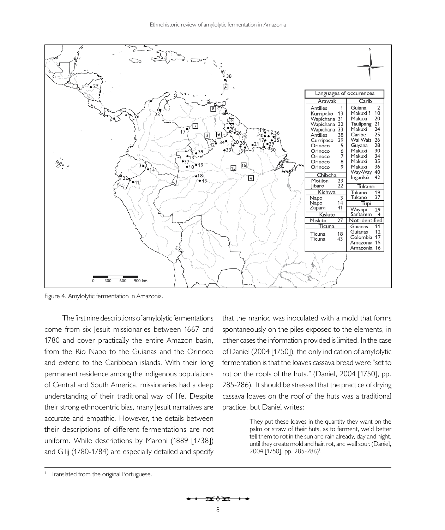

<span id="page-7-0"></span>Figure 4. Amylolytic fermentation in Amazonia.

The first nine descriptions of amylolytic fermentations come from six Jesuit missionaries between 1667 and 1780 and cover practically the entire Amazon basin, from the Rio Napo to the Guianas and the Orinoco and extend to the Caribbean islands. With their long permanent residence among the indigenous populations of Central and South America, missionaries had a deep understanding of their traditional way of life. Despite their strong ethnocentric bias, many Jesuit narratives are accurate and empathic. However, the details between their descriptions of different fermentations are not uniform. While descriptions by [Maroni \(1889 \[1738\]\)](#page-20-13)  and [Gilij \(1780-1784\)](#page-19-9) are especially detailed and specify

that the manioc was inoculated with a mold that forms spontaneously on the piles exposed to the elements, in other cases the information provided is limited. In the case of [Daniel \(2004 \[1750\]\)](#page-19-10), the only indication of amylolytic fermentation is that the loaves cassava bread were "set to rot on the roofs of the huts." ([Daniel, 2004 \[1750\]](#page-19-10), pp. 285-286). It should be stressed that the practice of drying cassava loaves on the roof of the huts was a traditional practice, but Daniel writes:

> They put these loaves in the quantity they want on the palm or straw of their huts, as to ferment, we'd better tell them to rot in the sun and rain already, day and night, until they create mold and hair, rot, and well sour. ([Daniel,](#page-19-10)  [2004 \[1750\]](#page-19-10), pp. 285-286)<sup>1</sup>.

म्क के क्य

<sup>&</sup>lt;sup>1</sup> Translated from the original Portuguese.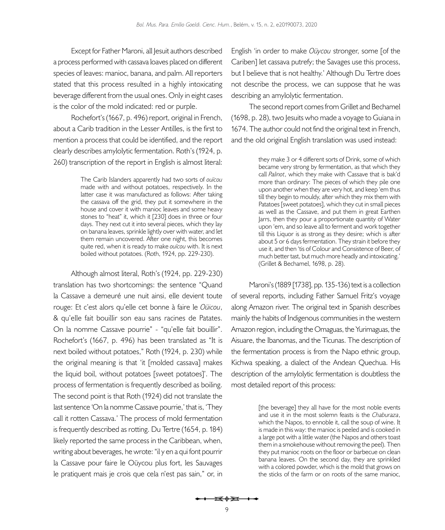Except for Father Maroni, all Jesuit authors described a process performed with cassava loaves placed on different species of leaves: manioc, banana, and palm. All reporters stated that this process resulted in a highly intoxicating beverage different from the usual ones. Only in eight cases is the color of the mold indicated: red or purple.

[Rochefort's \(1667,](#page-21-13) p. 496) report, original in French, about a Carib tradition in the Lesser Antilles, is the first to mention a process that could be identified, and the report clearly describes amylolytic fermentation. [Roth's \(1924](#page-21-10), p. 260) transcription of the report in English is almost literal:

> The Carib Islanders apparently had two sorts of *ouïcou* made with and without potatoes, respectively. In the latter case it was manufactured as follows: After taking the cassava off the grid, they put it somewhere in the house and cover it with manioc leaves and some heavy stones to "heat" it, which it [230] does in three or four days. They next cut it into several pieces, which they lay on banana leaves, sprinkle lightly over with water, and let them remain uncovered. After one night, this becomes quite red, when it is ready to make *ouïcou* with. It is next boiled without potatoes. ([Roth, 1924, pp. 229-230\)](#page-21-10).

Although almost literal, [Roth's \(1924,](#page-21-10) pp. 229-230) translation has two shortcomings: the sentence "Quand la Cassave a demeuré une nuit ainsi, elle devient toute rouge: Et c'est alors qu'elle cet bonne à faire le *Oüicou*, & qu'elle fait bouillir son eau sans racines de Patates. On la nomme Cassave pourrie" - "qu'elle fait bouillir". [Rochefort's \(1667](#page-21-13), p. 496) has been translated as "It is next boiled without potatoes," [Roth \(1924](#page-21-10), p. 230) while the original meaning is that 'it [molded cassava] makes the liquid boil, without potatoes [sweet potatoes]'. The process of fermentation is frequently described as boiling. The second point is that [Roth \(1924\)](#page-21-10) did not translate the last sentence 'On la nomme Cassave pourrie,' that is, 'They call it rotten Cassava.' The process of mold fermentation is frequently described as rotting. [Du Tertre \(1654,](#page-19-19) p. 184) likely reported the same process in the Caribbean, when, writing about beverages, he wrote: "il y en a qui font pourrir la Cassave pour faire le Oüycou plus fort, les Sauvages le pratiquent mais je crois que cela n'est pas sain," or, in

English 'in order to make *Oüycou* stronger, some [of the Cariben] let cassava putrefy; the Savages use this process, but I believe that is not healthy.' Although Du Tertre does not describe the process, we can suppose that he was describing an amylolytic fermentation.

The second report comes from [Grillet and Bechamel](#page-20-12) [\(1698,](#page-20-12) p. 28), two Jesuits who made a voyage to Guiana in 1674. The author could not find the original text in French, and the old original English translation was used instead:

> they make 3 or 4 different sorts of Drink, some of which became very strong by fermentation, as that which they call *Palinot*, which they make with Cassave that is bak'd more than ordinary: The pieces of which they pile one upon another when they are very hot, and keep 'em thus till they begin to mouldy, after which they mix them with Patatoes [sweet potatoes], which they cut in small pieces as well as the Cassave, and put them in great Earthen Jarrs, then they pour a proportionate quantity of Water upon 'em, and so leave all to ferment and work together till this Liquor is as strong as they desire; which is after about 5 or 6 days fermentation. They strain it before they use it, and then 'tis of Colour and Consistence of Beer, of much better tast, but much more headly and intoxicating.' [\(Grillet & Bechamel, 1698](#page-20-12), p. 28).

[Maroni's \(1889 \[1738\]](#page-20-13), pp. 135-136) text is a collection of several reports, including Father Samuel Fritz's voyage along Amazon river. The original text in Spanish describes mainly the habits of Indigenous communities in the western Amazon region, including the Omaguas, the Yurimaguas, the Aisuare, the Ibanomas, and the Ticunas. The description of the fermentation process is from the Napo ethnic group, Kichwa speaking, a dialect of the Andean Quechua. His description of the amylolytic fermentation is doubtless the most detailed report of this process:

> [the beverage] they all have for the most noble events and use it in the most solemn feasts is the *Chaburaza*, which the Napos, to ennoble it, call the soup of wine. It is made in this way: the manioc is peeled and is cooked in a large pot with a little water (the Napos and others toast them in a smokehouse without removing the peel). Then they put manioc roots on the floor or barbecue on clean banana leaves. On the second day, they are sprinkled with a colored powder, which is the mold that grows on the sticks of the farm or on roots of the same manioc,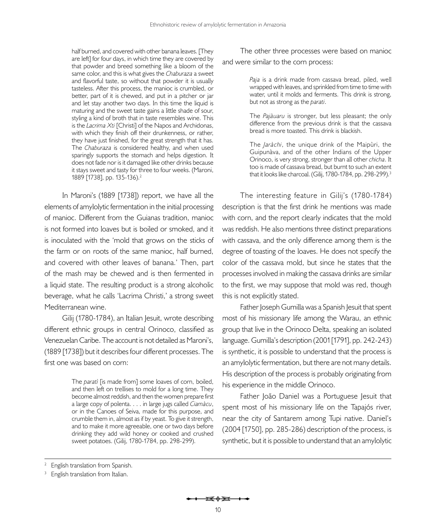half burned, and covered with other banana leaves. [They are left] for four days, in which time they are covered by that powder and breed something like a bloom of the same color, and this is what gives the *Chaburaza* a sweet and flavorful taste, so without that powder it is usually tasteless. After this process, the manioc is crumbled, or better, part of it is chewed, and put in a pitcher or jar and let stay another two days. In this time the liquid is maturing and the sweet taste gains a little shade of sour, styling a kind of broth that in taste resembles wine. This is the *Lacrima Xti* [Christi] of the Napos and Archidonas, with which they finish off their drunkenness, or rather, they have just finished, for the great strength that it has. The *Chaburaza* is considered healthy, and when used sparingly supports the stomach and helps digestion. It does not fade nor is it damaged like other drinks because it stays sweet and tasty for three to four weeks. [\(Maroni,](#page-20-13) [1889 \[1738\]](#page-20-13), pp. 135-136).2

In [Maroni's \(1889 \[1738\]](#page-20-13)) report, we have all the elements of amylolytic fermentation in the initial processing of manioc. Different from the Guianas tradition, manioc is not formed into loaves but is boiled or smoked, and it is inoculated with the 'mold that grows on the sticks of the farm or on roots of the same manioc, half burned, and covered with other leaves of banana.' Then, part of the mash may be chewed and is then fermented in a liquid state. The resulting product is a strong alcoholic beverage, what he calls 'Lacrima Christi,' a strong sweet Mediterranean wine.

[Gilij \(1780-1784\)](#page-19-9), an Italian Jesuit, wrote describing different ethnic groups in central Orinoco, classified as Venezuelan Caribe. The account is not detailed as [Maroni's,](#page-20-13)  [\(1889 \[1738\]\)](#page-20-13) but it describes four different processes. The first one was based on corn:

> The *paratì* [is made from] some loaves of corn, boiled, and then left on trellises to mold for a long time. They become almost reddish, and then the women prepare first a large copy of polenta. . . . in large jugs called *Ciamàcu*, or in the Canoes of Seiva, made for this purpose, and crumble them in, almost as if by yeast. To give it strength, and to make it more agreeable, one or two days before drinking they add wild honey or cooked and crushed sweet potatoes. ([Gilij, 1780-1784,](#page-19-9) pp. 298-299).

The other three processes were based on manioc and were similar to the corn process:

> *Paja* is a drink made from cassava bread, piled, well wrapped with leaves, and sprinkled from time to time with water, until it molds and ferments. This drink is strong, but not as strong as the *parati*.

> The *Pajàuaru* is stronger, but less pleasant; the only difference from the previous drink is that the cassava bread is more toasted. This drink is blackish.

> The *Jaràchi*, the unique drink of the Maipùri, the Guipunàva, and of the other Indians of the Upper Orinoco, is very strong, stronger than all other *chicha*. It too is made of cassava bread, but burnt to such an extent that it looks like charcoal. [\(Gilij, 1780-1784,](#page-19-9) pp. 298-299).<sup>3</sup>

The interesting feature in [Gilij's \(1780-1784\)](#page-19-9)  description is that the first drink he mentions was made with corn, and the report clearly indicates that the mold was reddish. He also mentions three distinct preparations with cassava, and the only difference among them is the degree of toasting of the loaves. He does not specify the color of the cassava mold, but since he states that the processes involved in making the cassava drinks are similar to the first, we may suppose that mold was red, though this is not explicitly stated.

Father Joseph Gumilla was a Spanish Jesuit that spent most of his missionary life among the Warau, an ethnic group that live in the Orinoco Delta, speaking an isolated language. [Gumilla's description \(2001 \[1791\], pp. 242-243\)](#page-20-11) is synthetic, it is possible to understand that the process is an amylolytic fermentation, but there are not many details. His description of the process is probably originating from his experience in the middle Orinoco.

Father João Daniel was a Portuguese Jesuit that spent most of his missionary life on the Tapajós river, near the city of Santarem among Tupi native. [Daniel's](#page-19-10)  [\(2004 \[1750\],](#page-19-10) pp. 285-286) description of the process, is synthetic, but it is possible to understand that an amylolytic

<sup>&</sup>lt;sup>2</sup> English translation from Spanish.

<sup>&</sup>lt;sup>3</sup> English translation from Italian.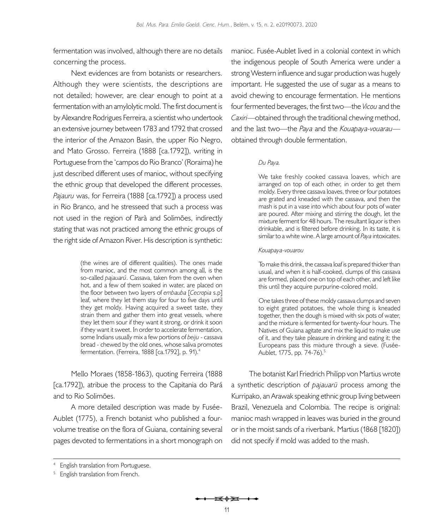fermentation was involved, although there are no details concerning the process.

Next evidences are from botanists or researchers. Although they were scientists, the descriptions are not detailed; however, are clear enough to point at a fermentation with an amylolytic mold. The first document is by Alexandre Rodrigues Ferreira, a scientist who undertook an extensive journey between 1783 and 1792 that crossed the interior of the Amazon Basin, the upper Rio Negro, and Mato Grosso. [Ferreira \(1888 \[ca.1792\]\)](#page-19-12), writing in Portuguese from the 'campos do Rio Branco' (Roraima) he just described different uses of manioc, without specifying the ethnic group that developed the different processes. *Pajauru* was, for [Ferreira \(1888 \[ca.1792\]](#page-19-12)) a process used in Rio Branco, and he stresseed that such a process was not used in the region of Parà and Solimões, indirectly stating that was not practiced among the ethnic groups of the right side of Amazon River. His description is synthetic:

> (the wines are of different qualities). The ones made from manioc, and the most common among all, is the so-called *pajauarú*. Cassava, taken from the oven when hot, and a few of them soaked in water, are placed on the floor between two layers of *embauba* [*Cecropia* s.p] leaf, where they let them stay for four to five days until they get moldy. Having acquired a sweet taste, they strain them and gather them into great vessels, where they let them sour if they want it strong, or drink it soon if they want it sweet. In order to accelerate fermentation, some Indians usually mix a few portions of *beiju* - cassava bread - chewed by the old ones, whose saliva promotes fermentation. ([Ferreira, 1888 \[ca.1792](#page-19-12)], p. 91).4

[Mello Moraes \(1858-1863\)](#page-20-17), quoting [Ferreira \(1888](#page-19-12)  [\[ca.1792\]\),](#page-19-12) atribue the process to the Capitania do Pará and to Rio Solimões.

A more detailed description was made by Fusée-Aublet (1775), a French botanist who published a fourvolume treatise on the flora of Guiana, containing several pages devoted to fermentations in a short monograph on manioc. Fusée-Aublet lived in a colonial context in which the indigenous people of South America were under a strong Western influence and sugar production was hugely important. He suggested the use of sugar as a means to avoid chewing to encourage fermentation. He mentions four fermented beverages, the first two—the *Vicou* and the *Caxiri*—obtained through the traditional chewing method, and the last two—the *Paya* and the *Kouapaya-vouarau* obtained through double fermentation.

### *Du Paya.*

We take freshly cooked cassava loaves, which are arranged on top of each other, in order to get them moldy. Every three cassava loaves, three or four potatoes are grated and kneaded with the cassava, and then the mash is put in a vase into which about four pots of water are poured. After mixing and stirring the dough, let the mixture ferment for 48 hours. The resultant liquor is then drinkable, and is filtered before drinking. In its taste, it is similar to a white wine. A large amount of *Paya* intoxicates.

### *Kouapaya-vouarou*

To make this drink, the cassava loaf is prepared thicker than usual, and when it is half-cooked, clumps of this cassava are formed, placed one on top of each other, and left like this until they acquire purpurine-colored mold.

One takes three of these moldy cassava clumps and seven to eight grated potatoes, the whole thing is kneaded together, then the dough is mixed with six pots of water, and the mixture is fermented for twenty-four hours. The Natives of Guiana agitate and mix the liquid to make use of it, and they take pleasure in drinking and eating it; the Europeans pass this mixture through a sieve. (Fusée-Aublet, 1775, pp. 74-76).<sup>5</sup>

The botanist Karl Friedrich Philipp von Martius wrote a synthetic description of *pajauarü* process among the Kurripako, an Arawak speaking ethnic group living between Brazil, Venezuela and Colombia. The recipe is original: manioc mash wrapped in leaves was buried in the ground or in the moist sands of a riverbank. [Martius \(1868 \[1820\]\)](#page-20-8) did not specify if mold was added to the mash.

<sup>&</sup>lt;sup>4</sup> English translation from Portuguese.

<sup>&</sup>lt;sup>5</sup> English translation from French.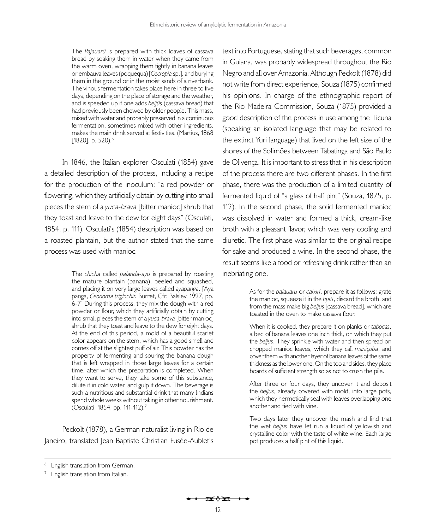The *Pajauarü* is prepared with thick loaves of cassava bread by soaking them in water when they came from the warm oven, wrapping them tightly in banana leaves or embauva leaves (poquequa) [*Cecropia* sp.], and burying them in the ground or in the moist sands of a riverbank. The vinous fermentation takes place here in three to five days, depending on the place of storage and the weather, and is speeded up if one adds *beijüs* (cassava bread) that had previously been chewed by older people. This mass, mixed with water and probably preserved in a continuous fermentation, sometimes mixed with other ingredients, makes the main drink served at festivities. [\(Martius, 1868](#page-20-8)  [\[1820\],](#page-20-8) p. 520).<sup>6</sup>

In 1846, the Italian explorer [Osculati \(1854\)](#page-21-14) gave a detailed description of the process, including a recipe for the production of the inoculum: "a red powder or flowering, which they artificially obtain by cutting into small pieces the stem of a *yuca-brava* [bitter manioc] shrub that they toast and leave to the dew for eight days" ([Osculati,](#page-21-14) [1854,](#page-21-14) p. 111). [Osculati's \(1854\)](#page-21-14) description was based on a roasted plantain, but the author stated that the same process was used with manioc.

> The *chicha* called *palanda-ayu* is prepared by roasting the mature plantain (banana), peeled and squashed, and placing it on very large leaves called *ayapanga*. [Aya panga, *Ceonoma triglochin* Burret, Cfr: [Balslev, 1997](#page-18-4), pp. 6-7] During this process, they mix the dough with a red powder or flour, which they artificially obtain by cutting into small pieces the stem of a *yuca-brava* [bitter manioc] shrub that they toast and leave to the dew for eight days. At the end of this period, a mold of a beautiful scarlet color appears on the stem, which has a good smell and comes off at the slightest puff of air. This powder has the property of fermenting and souring the banana dough that is left wrapped in those large leaves for a certain time, after which the preparation is completed. When they want to serve, they take some of this substance, dilute it in cold water, and gulp it down. The beverage is such a nutritious and substantial drink that many Indians spend whole weeks without taking in other nourishment. [\(Osculati, 1854,](#page-21-14) pp. 111-112).7

[Peckolt \(1878\),](#page-21-12) a German naturalist living in Rio de Janeiro, translated Jean Baptiste Christian Fusée-Aublet's

text into Portuguese, stating that such beverages, common in Guiana, was probably widespread throughout the Rio Negro and all over Amazonia. Although [Peckolt \(1878\)](#page-21-12) did not write from direct experience, [Souza \(1875\)](#page-21-8) confirmed his opinions. In charge of the ethnographic report of the Rio Madeira Commission, [Souza \(1875\)](#page-21-8) provided a good description of the process in use among the Ticuna (speaking an isolated language that may be related to the extinct Yuri language) that lived on the left size of the shores of the Solimões between Tabatinga and São Paulo de Olivença. It is important to stress that in his description of the process there are two different phases. In the first phase, there was the production of a limited quantity of fermented liquid of "a glass of half pint" ([Souza, 1875](#page-21-8), p. 112). In the second phase, the solid fermented manioc was dissolved in water and formed a thick, cream-like broth with a pleasant flavor, which was very cooling and diuretic. The first phase was similar to the original recipe for sake and produced a wine. In the second phase, the result seems like a food or refreshing drink rather than an inebriating one.

> As for the *pajauaru* or *caixiri*, prepare it as follows: grate the manioc, squeeze it in the *tipiti*, discard the broth, and from the mass make big *beijus* [cassava bread], which are toasted in the oven to make cassava flour.

> When it is cooked, they prepare it on planks or *tabocas*, a bed of banana leaves one inch thick, on which they put the *beijus*. They sprinkle with water and then spread on chopped manioc leaves, which they call *maniçoba*, and cover them with another layer of banana leaves of the same thickness as the lower one. On the top and sides, they place boards of sufficient strength so as not to crush the pile.

> After three or four days, they uncover it and deposit the *beijus*, already covered with mold, into large pots, which they hermetically seal with leaves overlapping one another and tied with vine.

> Two days later they uncover the mash and find that the wet *beijus* have let run a liquid of yellowish and crystalline color with the taste of white wine. Each large pot produces a half pint of this liquid.

<sup>&</sup>lt;sup>6</sup> English translation from German.

 $7$  English translation from Italian.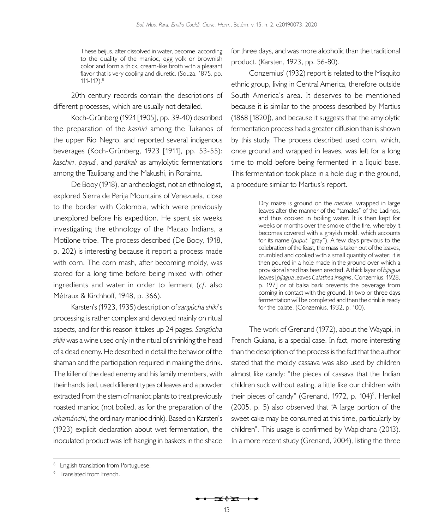These beijus, after dissolved in water, become, according to the quality of the manioc, egg yolk or brownish color and form a thick, cream-like broth with a pleasant flavor that is very cooling and diuretic. [\(Souza, 1875](#page-21-8), pp. 111-112).8

20th century records contain the descriptions of different processes, which are usually not detailed.

Koch-Grünberg (1921 [1905], pp. 39-40) described the preparation of the *kashiri* among the Tukanos of the upper Rio Negro, and reported several indigenous beverages (Koch-Grünberg, 1923 [1911], pp. 53-55): *kaschiri*, *payuá*, and *parákali* as amylolytic fermentations among the Taulipang and the Makushi, in Roraima.

[De Booy \(1918](#page-19-14)), an archeologist, not an ethnologist, explored Sierra de Perija Mountains of Venezuela, close to the border with Colombia, which were previously unexplored before his expedition. He spent six weeks investigating the ethnology of the Macao Indians, a Motilone tribe. The process described [\(De Booy, 1918](#page-19-14), p. 202) is interesting because it report a process made with corn. The corn mash, after becoming moldy, was stored for a long time before being mixed with other ingredients and water in order to ferment (*cf*. also Métraux & Kirchhoff, 1948, p. 366).

[Karsten's \(1923,](#page-20-14) [1935](#page-20-18)) description of *sangúcha shiki*'s processing is rather complex and devoted mainly on ritual aspects, and for this reason it takes up 24 pages. *Sangúcha shiki* was a wine used only in the ritual of shrinking the head of a dead enemy. He described in detail the behavior of the shaman and the participation required in making the drink. The killer of the dead enemy and his family members, with their hands tied, used different types of leaves and a powder extracted from the stem of manioc plants to treat previously roasted manioc (not boiled, as for the preparation of the *nihamánchi*, the ordinary manioc drink). Based on [Karsten's](#page-20-14)  [\(1923\)](#page-20-14) explicit declaration about wet fermentation, the inoculated product was left hanging in baskets in the shade

for three days, and was more alcoholic than the traditional product. ([Karsten, 1923,](#page-20-14) pp. 56-80).

[Conzemius' \(1932\)](#page-19-15) report is related to the Misquito ethnic group, living in Central America, therefore outside South America's area. It deserves to be mentioned because it is similar to the process described by [Martius](#page-20-8)  [\(1868 \[1820\]\),](#page-20-8) and because it suggests that the amylolytic fermentation process had a greater diffusion than is shown by this study. The process described used corn, which, once ground and wrapped in leaves, was left for a long time to mold before being fermented in a liquid base. This fermentation took place in a hole dug in the ground, a procedure similar to Martius's report.

> Dry maize is ground on the *metate*, wrapped in large leaves after the manner of the "tamales" of the Ladinos, and thus cooked in boiling water. It is then kept for weeks or months over the smoke of the fire, whereby it becomes covered with a grayish mold, which accounts for its name (*puput* "gray"). A few days previous to the celebration of the feast, the mass is taken out of the leaves, crumbled and cooked with a small quantity of water; it is then poured in a hole made in the ground over which a provisional shed has been erected. A thick layer of *bijagua* leaves [*bijagua* leaves *Calathea insignis*, [Conzemius, 1928,](#page-19-20) p. 197] or of balsa bark prevents the beverage from coming in contact with the ground. In two or three days fermentation will be completed and then the drink is ready for the palate. [\(Conzemius, 1932](#page-19-15), p. 100).

The work of [Grenand \(1972\)](#page-20-15), about the Wayapi, in French Guiana, is a special case. In fact, more interesting than the description of the process is the fact that the author stated that the moldy cassava was also used by children almost like candy: "the pieces of cassava that the Indian children suck without eating, a little like our children with their pieces of candy" [\(Grenand, 1972,](#page-20-15) p. 104)<sup>9</sup>. Henkel [\(2005](#page-20-5), p. 5) also observed that "A large portion of the sweet cake may be consumed at this time, particularly by children". This usage is confirmed by Wapichana (2013). In a more recent study ([Grenand, 2004\)](#page-20-19), listing the three

<sup>&</sup>lt;sup>8</sup> English translation from Portuguese.

<sup>&</sup>lt;sup>9</sup> Translated from French.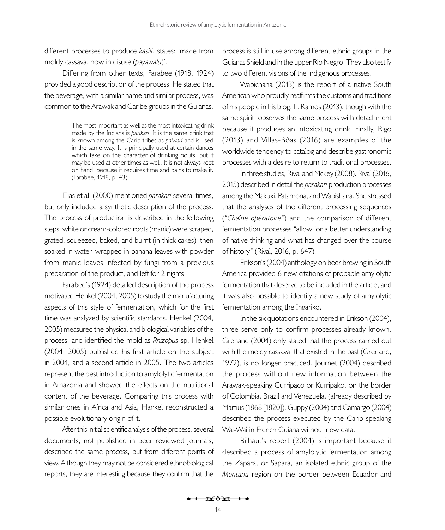different processes to produce *kasili*, states: 'made from moldy cassava, now in disuse (*payawalu*)'.

Differing from other texts, [Farabee \(1918](#page-19-21), [1924](#page-19-11)) provided a good description of the process. He stated that the beverage, with a similar name and similar process, was common to the Arawak and Caribe groups in the Guianas.

> The most important as well as the most intoxicating drink made by the Indians is *parikari*. It is the same drink that is known among the Carib tribes as *paiwari* and is used in the same way. It is principally used at certain dances which take on the character of drinking bouts, but it may be used at other times as well. It is not always kept on hand, because it requires time and pains to make it. [\(Farabee, 1918,](#page-19-21) p. 43).

[Elias et al. \(2000\)](#page-19-16) mentioned *parakari* several times, but only included a synthetic description of the process. The process of production is described in the following steps: white or cream-colored roots (manic) were scraped, grated, squeezed, baked, and burnt (in thick cakes); then soaked in water, wrapped in banana leaves with powder from manic leaves infected by fungi from a previous preparation of the product, and left for 2 nights.

[Farabee's \(1924\)](#page-19-11) detailed description of the process motivated [Henkel \(2004,](#page-20-4) [2005\)](#page-20-5) to study the manufacturing aspects of this style of fermentation, which for the first time was analyzed by scientific standards. [Henkel \(2004](#page-20-4), [2005](#page-20-5)) measured the physical and biological variables of the process, and identified the mold as *Rhizopus* sp. [Henkel](#page-20-4)  [\(2004,](#page-20-4) [2005](#page-20-5)) published his first article on the subject in 2004, and a second article in 2005. The two articles represent the best introduction to amylolytic fermentation in Amazonia and showed the effects on the nutritional content of the beverage. Comparing this process with similar ones in Africa and Asia, Hankel reconstructed a possible evolutionary origin of it.

After this initial scientific analysis of the process, several documents, not published in peer reviewed journals, described the same process, but from different points of view. Although they may not be considered ethnobiological reports, they are interesting because they confirm that the

process is still in use among different ethnic groups in the Guianas Shield and in the upper Rio Negro. They also testify to two different visions of the indigenous processes.

Wapichana (2013) is the report of a native South American who proudly reaffirms the customs and traditions of his people in his blog. L. [Ramos \(2013\)](#page-21-2), though with the same spirit, observes the same process with detachment because it produces an intoxicating drink. Finally, [Rigo](#page-21-3)  [\(2013\)](#page-21-3) and Villas-Bôas (2016) are examples of the worldwide tendency to catalog and describe gastronomic processes with a desire to return to traditional processes.

In three studies, [Rival and Mckey \(2008\)](#page-21-16). [Rival \(2016](#page-21-4), [2015\)](#page-21-5) described in detail the *parakari* production processes among the Makuxi, Patamona, and Wapishana. She stressed that the analyses of the different processing sequences ("*Chaîne opératoire*") and the comparison of different fermentation processes "allow for a better understanding of native thinking and what has changed over the course of history" ([Rival, 2016](#page-21-4), p. 647).

[Erikson's \(2004\)](#page-19-7) anthology on beer brewing in South America provided 6 new citations of probable amylolytic fermentation that deserve to be included in the article, and it was also possible to identify a new study of amylolytic fermentation among the Ingariko.

In the six quotations encountered in [Erikson \(2004\)](#page-19-7), three serve only to confirm processes already known. [Grenand \(2004\)](#page-20-19) only stated that the process carried out with the moldy cassava, that existed in the past ([Grenand,](#page-20-15)  [1972\)](#page-20-15), is no longer practiced. [Journet \(2004\)](#page-20-16) described the process without new information between the Arawak-speaking Curripaco or Kurripako, on the border of Colombia, Brazil and Venezuela, (already described by [Martius \(1868 \[1820\]\).](#page-20-8) [Guppy \(2004\)](#page-19-22) and [Camargo \(2004\)](#page-19-23) described the process executed by the Carib-speaking Wai-Wai in French Guiana without new data.

[Bilhaut's report \(2004\)](#page-18-3) is important because it described a process of amylolytic fermentation among the Zapara, or Sapara, an isolated ethnic group of the *Montaña* region on the border between Ecuador and

<del>i≼≬≩i +∢</del>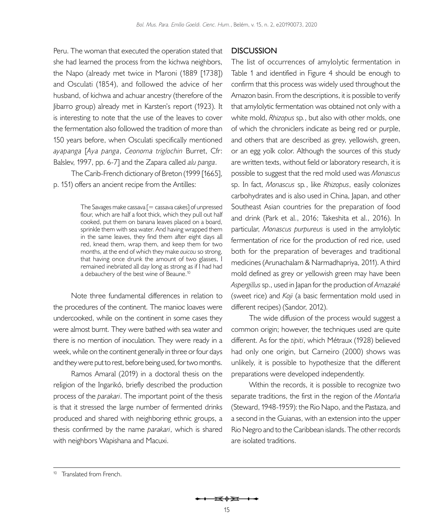Peru. The woman that executed the operation stated that she had learned the process from the kichwa neighbors, the Napo (already met twice in [Maroni \(1889 \[1738\]\)](#page-20-13) and [Osculati \(1854\),](#page-21-14) and followed the advice of her husband, of kichwa and achuar ancestry (therefore of the Jibarro group) already met in [Karsten's report \(1923\)](#page-20-14). It is interesting to note that the use of the leaves to cover the fermentation also followed the tradition of more than 150 years before, when Osculati specifically mentioned *ayapanga* [*Aya panga*, *Ceonoma triglochin* Burret, Cfr: [Balslev, 1997,](#page-18-4) pp. 6-7] and the Zapara called *alu panga*.

The Carib-French dictionary of [Breton \(1999 \[1665\]](#page-19-17), p. 151) offers an ancient recipe from the Antilles:

> The Savages make cassava  $[=$  cassava cakes] of unpressed flour, which are half a foot thick, which they pull out half cooked, put them on banana leaves placed on a board, sprinkle them with sea water. And having wrapped them in the same leaves, they find them after eight days all red, knead them, wrap them, and keep them for two months, at the end of which they make *ouicou* so strong, that having once drunk the amount of two glasses, I remained inebriated all day long as strong as if I had had a debauchery of the best wine of Beaune.<sup>10</sup>

Note three fundamental differences in relation to the procedures of the continent. The manioc loaves were undercooked, while on the continent in some cases they were almost burnt. They were bathed with sea water and there is no mention of inoculation. They were ready in a week, while on the continent generally in three or four days and they were put to rest, before being used, for two months.

[Ramos Amaral \(2019\)](#page-21-6) in a doctoral thesis on the religion of the Ingarikó, briefly described the production process of the *parakari*. The important point of the thesis is that it stressed the large number of fermented drinks produced and shared with neighboring ethnic groups, a thesis confirmed by the name *parakari*, which is shared with neighbors Wapishana and Macuxi.

# **DISCUSSION**

The list of occurrences of amylolytic fermentation in [Table 1](#page-5-0) and identified in [Figure 4](#page-7-0) should be enough to confirm that this process was widely used throughout the Amazon basin. From the descriptions, it is possible to verify that amylolytic fermentation was obtained not only with a white mold, *Rhizopus* sp*.*, but also with other molds, one of which the chroniclers indicate as being red or purple, and others that are described as grey, yellowish, green, or an egg yolk color. Although the sources of this study are written texts, without field or laboratory research, it is possible to suggest that the red mold used was *Monascus*  sp. In fact, *Monascus* sp*.*, like *Rhizopus*, easily colonizes carbohydrates and is also used in China, Japan, and other Southeast Asian countries for the preparation of food and drink [\(Park et al., 2016](#page-21-17); [Takeshita et al., 2016\)](#page-21-18). In particular, *Monascus purpureus* is used in the amylolytic fermentation of rice for the production of red rice, used both for the preparation of beverages and traditional medicines [\(Arunachalam & Narmadhapriya, 2011\)](#page-18-5). A third mold defined as grey or yellowish green may have been *Aspergillus* sp., used in Japan for the production of *Amazaké* (sweet rice) and *Koji* (a basic fermentation mold used in different recipes) [\(Sandor, 2012\)](#page-21-19).

The wide diffusion of the process would suggest a common origin; however, the techniques used are quite different. As for the *tipiti*, which [Métraux \(1928\)](#page-20-20) believed had only one origin, but [Carneiro \(2000\)](#page-19-24) shows was unlikely, it is possible to hypothesize that the different preparations were developed independently.

Within the records, it is possible to recognize two separate traditions, the first in the region of the *Montaña* ([Steward, 1948](#page-21-9)-1959): the Rio Napo, and the Pastaza, and a second in the Guianas, with an extension into the upper Rio Negro and to the Caribbean islands. The other records are isolated traditions.

<sup>&</sup>lt;sup>10</sup> Translated from French.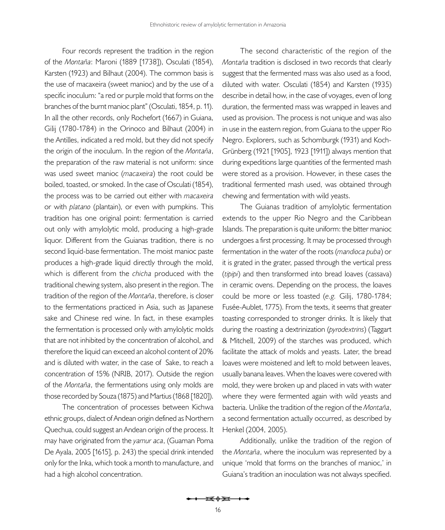Four records represent the tradition in the region of the *Montaña*: [Maroni \(1889 \[1738\]\),](#page-20-13) [Osculati \(1854\)](#page-21-14), [Karsten \(1923\)](#page-20-14) and [Bilhaut \(2004\)](#page-18-3). The common basis is the use of macaxeira (sweet manioc) and by the use of a specific inoculum: "a red or purple mold that forms on the branches of the burnt manioc plant" [\(Osculati, 1854,](#page-21-14) p. 11). In all the other records, only [Rochefort \(1667\)](#page-21-13) in Guiana, [Gilij \(1780-1784\)](#page-19-9) in the Orinoco and [Bilhaut \(2004\)](#page-18-3) in the Antilles, indicated a red mold, but they did not specify the origin of the inoculum. In the region of the *Montaña*, the preparation of the raw material is not uniform: since was used sweet manioc (*macaxeira*) the root could be boiled, toasted, or smoked. In the case of [Osculati \(1854\)](#page-21-14), the process was to be carried out either with *macaxeira* or with *platano* (plantain), or even with pumpkins. This tradition has one original point: fermentation is carried out only with amylolytic mold, producing a high-grade liquor. Different from the Guianas tradition, there is no second liquid-base fermentation. The moist manioc paste produces a high-grade liquid directly through the mold, which is different from the *chicha* produced with the traditional chewing system, also present in the region. The tradition of the region of the *Montaña*, therefore, is closer to the fermentations practiced in Asia, such as Japanese sake and Chinese red wine. In fact, in these examples the fermentation is processed only with amylolytic molds that are not inhibited by the concentration of alcohol, and therefore the liquid can exceed an alcohol content of 20% and is diluted with water, in the case of Sake, to reach a concentration of 15% [\(NRIB, 2017](#page-20-21)). Outside the region of the *Montaña*, the fermentations using only molds are those recorded by [Souza \(1875\)](#page-21-8) and [Martius \(1868 \[1820\]\)](#page-20-8).

The concentration of processes between Kichwa ethnic groups, dialect of Andean origin defined as Northern Quechua, could suggest an Andean origin of the process. It may have originated from the *yamur aca*, [\(Guaman Poma](#page-20-22)  [De Ayala, 2005 \[1615\]](#page-20-22), p. 243) the special drink intended only for the Inka, which took a month to manufacture, and had a high alcohol concentration.

The second characteristic of the region of the *Montaña* tradition is disclosed in two records that clearly suggest that the fermented mass was also used as a food, diluted with water. [Osculati \(1854\)](#page-21-14) and [Karsten \(1935\)](#page-20-18) describe in detail how, in the case of voyages, even of long duration, the fermented mass was wrapped in leaves and used as provision. The process is not unique and was also in use in the eastern region, from Guiana to the upper Rio Negro. Explorers, such as [Schomburgk \(1931\)](#page-21-20) and Koch-Grünberg (1921 [1905], 1923 [1911]) always mention that during expeditions large quantities of the fermented mash were stored as a provision. However, in these cases the traditional fermented mash used, was obtained through chewing and fermentation with wild yeasts.

The Guianas tradition of amylolytic fermentation extends to the upper Rio Negro and the Caribbean Islands. The preparation is quite uniform: the bitter manioc undergoes a first processing. It may be processed through fermentation in the water of the roots (*mandioca puba*) or it is grated in the grater, passed through the vertical press (*tipipi*) and then transformed into bread loaves (cassava) in ceramic ovens. Depending on the process, the loaves could be more or less toasted (*e.g.* [Gilij, 1780-1784](#page-19-9); Fusée-Aublet, 1775). From the texts, it seems that greater toasting corresponded to stronger drinks. It is likely that during the roasting a dextrinization (*pyrodextrins*) ([Taggart](#page-21-21)  [& Mitchell, 2009](#page-21-21)) of the starches was produced, which facilitate the attack of molds and yeasts. Later, the bread loaves were moistened and left to mold between leaves, usually banana leaves. When the loaves were covered with mold, they were broken up and placed in vats with water where they were fermented again with wild yeasts and bacteria. Unlike the tradition of the region of the *Montaña*, a second fermentation actually occurred, as described by [Henkel \(2004,](#page-20-4) [2005](#page-20-5)).

Additionally, unlike the tradition of the region of the *Montaña*, where the inoculum was represented by a unique 'mold that forms on the branches of manioc,' in Guiana's tradition an inoculation was not always specified.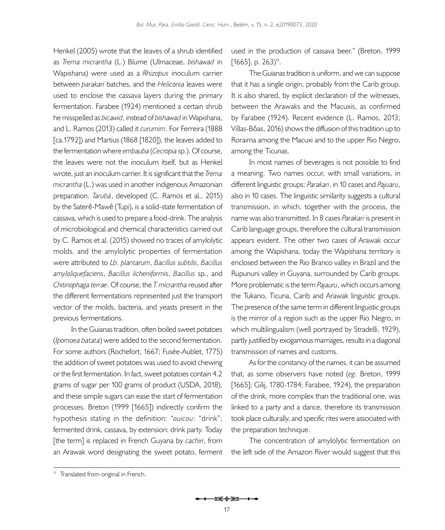[Henkel \(2005\)](#page-20-5) wrote that the leaves of a shrub identified as *Trema micrantha* (L.) Blume (Ulmaceae, *bishawad* in Wapishana) were used as a *Rhizopus* inoculum carrier between *parakari* batches, and the *Heliconia* leaves were used to enclose the cassava layers during the primary fermentation. [Farabee \(1924\)](#page-19-11) mentioned a certain shrub he misspelled as *bicawid*, instead of *bishawad* in Wapishana, and L. [Ramos \(2013\)](#page-21-2) called it *curumim*. For [Ferreira \(1888](#page-19-12)  [\[ca.1792\]\)](#page-19-12) and [Martius \(1868 \[1820\]\),](#page-20-8) the leaves added to the fermentation where *embauba* (*Cecropia* sp.). Of course, the leaves were not the inoculum itself, but as Henkel wrote, just an inoculum carrier. It is significant that the *Trema micrantha* (L.) was used in another indigenous Amazonian preparation. *Tarubá*, developed (C. [Ramos et al., 2015](#page-21-22)) by the Saterê-Mawê (Tupi), is a solid-state fermentation of cassava, which is used to prepare a food-drink. The analysis of microbiological and chemical characteristics carried out by C. [Ramos et al. \(2015\)](#page-21-22) showed no traces of amylolytic molds, and the amylolytic properties of fermentation were attributed to *Lb. plantarum*, *Bacillus subtilis*, *Bacillus amyloliquefaciens*, *Bacillus licheniformis*, *Bacillus* sp., and *Chitinophaga terrae*. Of course, the *T. micrantha* reused after the different fermentations represented just the transport vector of the molds, bacteria, and yeasts present in the previous fermentations.

In the Guianas tradition, often boiled sweet potatoes (*Ipomoea batata*) were added to the second fermentation. For some authors [\(Rochefort, 1667;](#page-21-13) Fusée-Aublet, 1775) the addition of sweet potatoes was used to avoid chewing or the first fermentation. In fact, sweet potatoes contain 4.2 grams of sugar per 100 grams of product [\(USDA, 2018](#page-22-0)), and these simple sugars can ease the start of fermentation processes. [Breton \(1999 \[1665\]](#page-19-17)) indirectly confirm the hypothesis stating in the definition: "*ouicou*: "drink"; fermented drink, cassava, by extension: drink party. Today [the term] is replaced in French Guyana by *cachiri*, from an Arawak word designating the sweet potato, ferment

used in the production of cassava beer." ([Breton, 1999](#page-19-17)   $[1665]$ , p. 263)<sup>11</sup>.

The Guianas tradition is uniform, and we can suppose that it has a single origin, probably from the Carib group. It is also shared, by explicit declaration of the witnesses, between the Arawaks and the Macuxis, as confirmed by [Farabee \(1924\).](#page-19-11) Recent evidence (L. [Ramos, 2013](#page-21-2); Villas-Bôas, 2016) shows the diffusion of this tradition up to Roraima among the Macuxi and to the upper Rio Negro, among the Ticunas.

In most names of beverages is not possible to find a meaning. Two names occur, with small variations, in different linguistic groups: *Parakari*, in 10 cases and *Pajuaru*, also in 10 cases. The linguistic similarity suggests a cultural transmission, in which, together with the process, the name was also transmitted. In 8 cases *Parakari* is present in Carib language groups, therefore the cultural transmission appears evident. The other two cases of Arawak occur among the Wapishana, today the Wapishana territory is enclosed between the Rio Branco valley in Brazil and the Rupununi valley in Guyana, surrounded by Carib groups. More problematic is the term *Pajauru*, which occurs among the Tukano, Ticuna, Carib and Arawak linguistic groups. The presence of the same term in different linguistic groups is the mirror of a region such as the upper Rio Negro, in which multilingualism (well portrayed by [Stradelli, 1929](#page-21-23)), partly justified by exogamous marriages, results in a diagonal transmission of names and customs.

As for the constancy of the names, it can be assumed that, as some observers have noted (*eg*. [Breton, 1999](#page-19-17) [\[1665\];](#page-19-17) [Gilij, 1780-1784](#page-19-9); [Farabee, 1924\)](#page-19-11), the preparation of the drink, more complex than the traditional one, was linked to a party and a dance, therefore its transmission took place culturally, and specific rites were associated with the preparation technique.

The concentration of amylolytic fermentation on the left side of the Amazon River would suggest that this

<sup>&</sup>lt;sup>11</sup> Translated from original in French.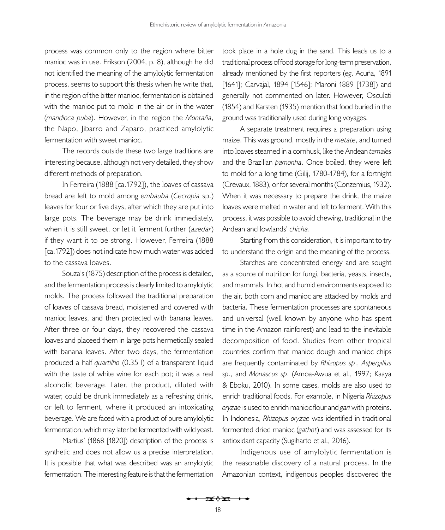process was common only to the region where bitter manioc was in use. [Erikson \(2004,](#page-19-7) p. 8), although he did not identified the meaning of the amylolytic fermentation process, seems to support this thesis when he write that, in the region of the bitter manioc, fermentation is obtained with the manioc put to mold in the air or in the water (*mandioca puba*). However, in the region the *Montaña*, the Napo, Jibarro and Zaparo, practiced amylolytic fermentation with sweet manioc.

The records outside these two large traditions are interesting because, although not very detailed, they show different methods of preparation.

In [Ferreira \(1888 \[ca.1792\]](#page-19-12)), the loaves of cassava bread are left to mold among *embauba* (*Cecropia* sp.) leaves for four or five days, after which they are put into large pots. The beverage may be drink immediately, when it is still sweet, or let it ferment further (*azedar*) if they want it to be strong. However, [Ferreira \(1888](#page-19-12)  [\[ca.1792\]\)](#page-19-12) does not indicate how much water was added to the cassava loaves.

[Souza's \(1875\)](#page-21-8) description of the process is detailed, and the fermentation process is clearly limited to amylolytic molds. The process followed the traditional preparation of loaves of cassava bread, moistened and covered with manioc leaves, and then protected with banana leaves. After three or four days, they recovered the cassava loaves and placeed them in large pots hermetically sealed with banana leaves. After two days, the fermentation produced a half *quartilho* (0.35 l) of a transparent liquid with the taste of white wine for each pot; it was a real alcoholic beverage. Later, the product, diluted with water, could be drunk immediately as a refreshing drink, or left to ferment, where it produced an intoxicating beverage. We are faced with a product of pure amylolytic fermentation, which may later be fermented with wild yeast.

[Martius' \(1868 \[1820\]\)](#page-20-8) description of the process is synthetic and does not allow us a precise interpretation. It is possible that what was described was an amylolytic fermentation. The interesting feature is that the fermentation

took place in a hole dug in the sand. This leads us to a traditional process of food storage for long-term preservation, already mentioned by the first reporters (*eg*. Acuña, 1891 [1641]; [Carvajal, 1894 \[1546\]](#page-19-25); [Maroni 1889 \[1738\]\)](#page-20-13) and generally not commented on later. However, [Osculati](#page-21-14) [\(1854\)](#page-21-14) and [Karsten \(1935\) m](#page-20-18)ention that food buried in the ground was traditionally used during long voyages.

A separate treatment requires a preparation using maize. This was ground, mostly in the *metate*, and turned into loaves steamed in a cornhusk, like the Andean *tamales* and the Brazilian *pamonha*. Once boiled, they were left to mold for a long time ([Gilij, 1780-1784\)](#page-19-9), for a fortnight ([Crevaux, 1883\)](#page-19-13), or for several months [\(Conzemius, 1932\)](#page-19-15). When it was necessary to prepare the drink, the maize loaves were melted in water and left to ferment. With this process, it was possible to avoid chewing, traditional in the Andean and lowlands' *chicha*.

Starting from this consideration, it is important to try to understand the origin and the meaning of the process.

Starches are concentrated energy and are sought as a source of nutrition for fungi, bacteria, yeasts, insects, and mammals. In hot and humid environments exposed to the air, both corn and manioc are attacked by molds and bacteria. These fermentation processes are spontaneous and universal (well known by anyone who has spent time in the Amazon rainforest) and lead to the inevitable decomposition of food. Studies from other tropical countries confirm that manioc dough and manioc chips are frequently contaminated by *Rhizopus sp*., *Aspergillus sp*., and *Monascus sp*. ([Amoa-Awua et al., 1997](#page-18-6); [Kaaya](#page-20-23)  [& Eboku, 2010](#page-20-23)). In some cases, molds are also used to enrich traditional foods. For example, in Nigeria *Rhizopus oryzae* is used to enrich manioc flour and *gari* with proteins. In Indonesia, *Rhizopus oryzae* was identified in traditional fermented dried manioc (*gathot*) and was assessed for its antioxidant capacity ([Sugiharto et al., 2016](#page-21-24)).

Indigenous use of amylolytic fermentation is the reasonable discovery of a natural process. In the Amazonian context, indigenous peoples discovered the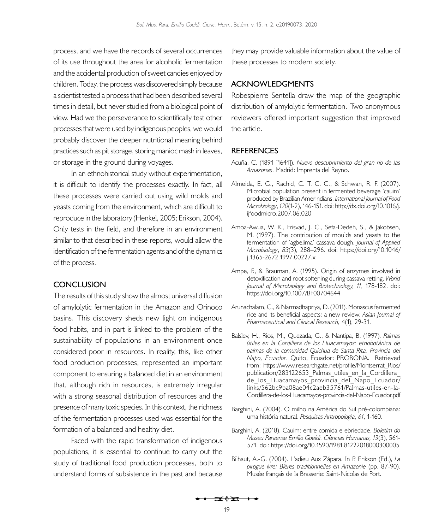process, and we have the records of several occurrences of its use throughout the area for alcoholic fermentation and the accidental production of sweet candies enjoyed by children. Today, the process was discovered simply because a scientist tested a process that had been described several times in detail, but never studied from a biological point of view. Had we the perseverance to scientifically test other processes that were used by indigenous peoples, we would probably discover the deeper nutritional meaning behind practices such as pit storage, storing manioc mash in leaves, or storage in the ground during voyages.

In an ethnohistorical study without experimentation, it is difficult to identify the processes exactly. In fact, all these processes were carried out using wild molds and yeasts coming from the environment, which are difficult to reproduce in the laboratory [\(Henkel, 2005;](#page-20-5) [Erikson, 2004\)](#page-19-7). Only tests in the field, and therefore in an environment similar to that described in these reports, would allow the identification of the fermentation agents and of the dynamics of the process.

### **CONCLUSION**

The results of this study show the almost universal diffusion of amylolytic fermentation in the Amazon and Orinoco basins. This discovery sheds new light on indigenous food habits, and in part is linked to the problem of the sustainability of populations in an environment once considered poor in resources. In reality, this, like other food production processes, represented an important component to ensuring a balanced diet in an environment that, although rich in resources, is extremely irregular with a strong seasonal distribution of resources and the presence of many toxic species. In this context, the richness of the fermentation processes used was essential for the formation of a balanced and healthy diet.

Faced with the rapid transformation of indigenous populations, it is essential to continue to carry out the study of traditional food production processes, both to understand forms of subsistence in the past and because

they may provide valuable information about the value of these processes to modern society.

# **ACKNOWLEDGMENTS**

Robespierre Sentella draw the map of the geographic distribution of amylolytic fermentation. Two anonymous reviewers offered important suggestion that improved the article.

## **REFERENCES**

- Acuña, C. (1891 [1641]). *Nuevo descubrimiento del gran rio de las Amazonas*. Madrid: Imprenta del Reyno.
- <span id="page-18-1"></span>Almeida, E. G., Rachid, C. T. C. C., & Schwan, R. F. (2007). Microbial population present in fermented beverage 'cauim' produced by Brazilian Amerindians. *International Journal of Food Microbiology*, *120*(1-2), 146-151. doi: [http://dx.doi.org/10.1016/j.](http://dx.doi.org/10.1016/j.ijfoodmicro.2007.06.020) [ijfoodmicro.2007.06.020](http://dx.doi.org/10.1016/j.ijfoodmicro.2007.06.020)
- <span id="page-18-6"></span>Amoa-Awua, W. K., Frisvad, J. C., Sefa-Dedeh, S., & Jakobsen, M. (1997). The contribution of moulds and yeasts to the fermentation of 'agbelima' cassava dough. *Journal of Applied Microbiology*, *83*(3), 288–296. doi: [https://doi.org/10.1046/](https://doi.org/10.1046/j.1365-2672.1997.00227.x) [j.1365-2672.1997.00227.x](https://doi.org/10.1046/j.1365-2672.1997.00227.x)
- <span id="page-18-0"></span>Ampe, F., & Brauman, A. (1995). Origin of enzymes involved in detoxification and root softening during cassava retting. *World Journal of Microbiology and Biotechnology, 11*, 178-182. doi: <https://doi.org/10.1007/BF00704644>
- <span id="page-18-5"></span>Arunachalam, C., & Narmadhapriya, D. (2011). Monascus fermented rice and its beneficial aspects: a new review. *Asian Journal of Pharmaceutical and Clinical Research,* 4(1), 29-31.
- <span id="page-18-4"></span>Balslev, H., Rios, M., Quezada, G., & Nantipa, B. (1997). *Palmas útiles en la Cordillera de los Huacamayos: etnobotánica de palmas de la comunidad Quichua de Santa Rita, Provincia del Napo, Ecuador*. Quito, Ecuador: PROBONA. Retrieved from: [https://www.researchgate.net/profile/Montserrat\\_Rios/](https://www.researchgate.net/profile/Montserrat_Rios/publication/283122653_Palmas_utiles_en_la_Cordillera_de_los_Huacamayos_provincia_del_Napo_Ecuador/links/562bc9ba08ae04c2aeb35761/Palmas-utiles-en-la-Cordillera-de-los-Huacamayos-provincia-del-Napo-Ecuad) publication/283122653 Palmas utiles en la Cordillera  $de$  los Huacamayos provincia del Napo Ecuador/ [links/562bc9ba08ae04c2aeb35761/Palmas-utiles-en-la-](https://www.researchgate.net/profile/Montserrat_Rios/publication/283122653_Palmas_utiles_en_la_Cordillera_de_los_Huacamayos_provincia_del_Napo_Ecuador/links/562bc9ba08ae04c2aeb35761/Palmas-utiles-en-la-Cordillera-de-los-Huacamayos-provincia-del-Napo-Ecuad)[Cordillera-de-los-Huacamayos-provincia-del-Napo-Ecuador.pdf](https://www.researchgate.net/profile/Montserrat_Rios/publication/283122653_Palmas_utiles_en_la_Cordillera_de_los_Huacamayos_provincia_del_Napo_Ecuador/links/562bc9ba08ae04c2aeb35761/Palmas-utiles-en-la-Cordillera-de-los-Huacamayos-provincia-del-Napo-Ecuad)
- <span id="page-18-2"></span>Barghini, A. (2004). O milho na América do Sul pré-colombiana: uma história natural. *Pesquisas Antropologia*, *61*, 1-160.
- Barghini, A. (2018). Cauim: entre comida e ebriedade. *Boletim do Museu Paraense Emílio Goeldi. Ci*ê*ncias Humanas, 13*(3), 561- 571. doi:<https://doi.org/10.1590/1981.81222018000300005>
- <span id="page-18-3"></span>Bilhaut, A.-G. (2004). L'adieu Aux Zápara. In P. Erikson (Ed.), *La pirogue ivre: Bières traditionnelles en Amazonie* (pp. 87-90). Musée français de la Brasserie: Saint-Nicolas de Port.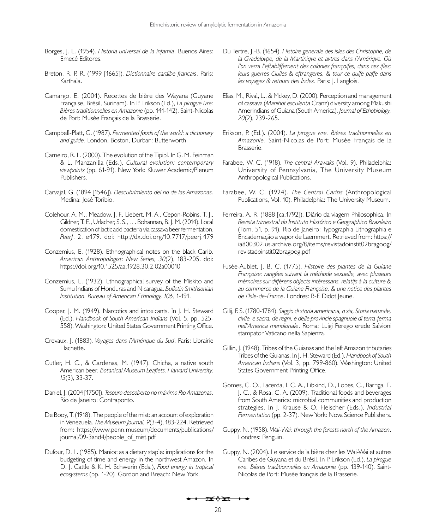- <span id="page-19-0"></span>Borges, J. L. (1954). *Historia universal de la infamia*. Buenos Aires: Emecé Editores.
- <span id="page-19-17"></span>Breton, R. P. R. (1999 [1665]). *Dictionnaire caraïbe francais*. Paris: Karthala.
- <span id="page-19-23"></span>Camargo, E. (2004). Recettes de bière des Wayana (Guyane Française, Brésil, Surinam). In P. Erikson (Ed.), *La pirogue ivre: Bières traditionnelles en Amazonie* (pp. 141-142). Saint-Nicolas de Port: Musée Français de la Brasserie.
- <span id="page-19-6"></span>Campbell-Platt, G. (1987). *Fermented foods of the world: a dictionary and guide*. London, Boston, Durban: Butterworth.
- <span id="page-19-24"></span>Carneiro, R. L. (2000). The evolution of the Tipipí. In G. M. Feinman & L. Manzanilla (Eds.), *Cultural evolution: contemporary viewpoints* (pp. 61-91). New York: Kluwer Academic/Plenum Publishers.
- <span id="page-19-25"></span>Carvajal, G. (1894 [1546]). *Descubrimiento del rio de las Amazonas*. Medina: José Toribio.
- <span id="page-19-4"></span>Colehour, A. M., Meadow, J. F., Liebert, M. A., Cepon-Robins, T. J., Gildner, T. E., Urlacher, S. S., . . . Bohannan, B. J. M. (2014). Local domestication of lactic acid bacteria via cassava beer fermentation. *PeerJ*, 2, e479. doi: <http://dx.doi.org/10.7717/peerj.479>
- <span id="page-19-20"></span>Conzemius, E. (1928). Ethnographical notes on the black Carib. *American Anthropologist: New Series, 30*(2), 183-205. doi: <https://doi.org/10.1525/aa.1928.30.2.02a00010>
- <span id="page-19-15"></span>Conzemius, E. (1932). Ethnographical survey of the Miskito and Sumu Indians of Honduras and Nicaragua. *Bulletin Smithsonian Institution. Bureau of American Ethnology, 106*, 1-191.
- <span id="page-19-1"></span>Cooper, J. M. (1949). Narcotics and intoxicants. In J. H. Steward (Ed.), *Handbook of South American Indians* (Vol. 5, pp. 525- 558). Washington: United States Government Printing Office.
- <span id="page-19-13"></span>Crevaux, J. (1883). *Voyages dans l'Amérique du Sud*. Paris: Librairie Hachette.
- <span id="page-19-2"></span>Cutler, H. C., & Cardenas, M. (1947). Chicha, a native south American beer*. Botanical Museum Leaflets, Harvard University, 13*(3), 33-37.
- <span id="page-19-10"></span>Daniel, J. (2004 [1750]). *Tesouro descoberto no máximo Rio Amazonas*. Rio de Janeiro: Contraponto.
- <span id="page-19-14"></span>De Booy, T. (1918). The people of the mist: an account of exploration in Venezuela. *The Museum Journal, 9*(3-4), 183-224. Retrieved from: [https://www.penn.museum/documents/publications/](https://www.penn.museum/documents/publications/journal/09-3and4/people_of_mist.pdf) [journal/09-3and4/people\\_of\\_mist.pdf](https://www.penn.museum/documents/publications/journal/09-3and4/people_of_mist.pdf)
- <span id="page-19-3"></span>Dufour, D. L. (1985). Manioc as a dietary staple: implications for the budgeting of time and energy in the northwest Amazon. In D. J. Cattle & K. H. Schwerin (Eds.), *Food energy in tropical ecosystems* (pp. 1-20)*.* Gordon and Breach: New York.
- <span id="page-19-19"></span>Du Tertre, J.-B. (1654). *Histoire generale des isles des Christophe, de la Gvadelovpe, de la Martiniqve et avtres dans l'Amériqve. Où l'on verra l'eftabliffement des colonies françoifes, dans ces ifles; leurs guerres Ciuiles & eftrangeres, & tour ce quife paffe dans les voyages & retours des Indes*. Paris: J. Langlois.
- <span id="page-19-16"></span>Elias, M., Rival, L., & Mckey, D. (2000). Perception and management of cassava (*Manihot esculenta* Cranz) diversity among Makushi Amerindians of Guiana (South America). *Journal of Ethobiology, 20*(2), 239-265.
- <span id="page-19-7"></span>Erikson, P. (Ed.). (2004). *La pirogue ivre. Bières traditionnelles en Amazonie.* Saint-Nicolas de Port: Musée Français de la Brasserie.
- <span id="page-19-21"></span>Farabee, W. C. (1918). *The central Arawaks* (Vol. 9). Philadelphia: University of Pennsylvania, The University Museum Anthropological Publications.
- <span id="page-19-11"></span>Farabee, W. C. (1924). *The Central Caribs* (Anthropological Publications, Vol. 10). Philadelphia: The University Museum.
- <span id="page-19-12"></span>Ferreira, A. R. (1888 [ca.1792]). Diário da viagem Philosophica. In *Revista trimestral do Instituto Histórico e Geographico Brazileiro* (Tom. 51, p. 91). Rio de Janeiro: Typographia Lithographia e Encadernação a vapor de Laemmert. Retrieved from: [https://](https://ia800302.us.archive.org/8/items/revistadoinstit02bragoog/revistadoinstit02bragoog.pdf) [ia800302.us.archive.org/8/items/revistadoinstit02bragoog/](https://ia800302.us.archive.org/8/items/revistadoinstit02bragoog/revistadoinstit02bragoog.pdf) [revistadoinstit02bragoog.pdf](https://ia800302.us.archive.org/8/items/revistadoinstit02bragoog/revistadoinstit02bragoog.pdf)
- Fusée-Aublet, J. B. C. (1775). *Histoire des plantes de la Guiane Françoise: rangées suivant la méthode sexuelle, avec plusieurs mémoires sur différens objects intéressans, relatifs à la culture & au commerce de la Guiane Françoise, & une notice des plantes de l'Isle-de-France*. Londres: P.-F. Didot Jeune.
- <span id="page-19-9"></span>Gilij, F. S. (1780-1784). *Saggio di storia americana, o sia, Storia naturale, civile, e sacra, de regni, e delle provincie spagnuole di terra-ferma nell'America meridionale*. Roma: Luigi Perego erede Salvioni stampator Vaticano nella Sapienza.
- <span id="page-19-8"></span>Gillin, J. (1948). Tribes of the Guianas and the left Amazon tributaries Tribes of the Guianas. In J. H. Steward (Ed.), *Handbook of South American Indians* (Vol. 3, pp. 799-860). Washington: United States Government Printing Office.
- <span id="page-19-5"></span>Gomes, C. O., Lacerda, I. C. A., Libkind, D., Lopes, C., Barriga, E. J. C., & Rosa, C. A. (2009). Traditional foods and beverages from South America: microbial communities and production strategies. In J. Krause & O. Fleischer (Eds.), *Industrial Fermentation* (pp. 2-37). New York: Nova Science Publishers.
- <span id="page-19-18"></span>Guppy, N. (1958). *Wai-Wai: through the forests north of the Amazon*. Londres: Penguin.
- <span id="page-19-22"></span>Guppy, N. (2004). Le service de la bière chez les Wai-Wai et autres Caribes de Guyana et du Brésil. In P. Erikson (Ed.), *La pirogue ivre. Bières traditionnelles en Amazonie* (pp. 139-140). Saint-Nicolas de Port: Musée français de la Brasserie.

<del>is≬∑ +</del>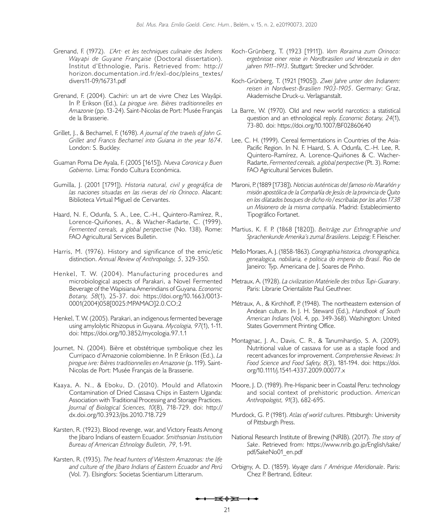- <span id="page-20-15"></span>Grenand, F. (1972). *L'Art· et les techniques culinaire des Indiens Wayapi de Guyane Française* (Doctoral dissertation). Institut d'Ethnologie, Paris. Retrieved from: [http://](http://horizon.documentation.ird.fr/exl-doc/pleins_textes/divers11-09/16731.pdf) [horizon.documentation.ird.fr/exl-doc/pleins\\_textes/](http://horizon.documentation.ird.fr/exl-doc/pleins_textes/divers11-09/16731.pdf) [divers11-09/16731.pdf](http://horizon.documentation.ird.fr/exl-doc/pleins_textes/divers11-09/16731.pdf)
- <span id="page-20-19"></span>Grenand, F. (2004). Cachiri: un art de vivre Chez Les Wayãpi. In P. Erikson (Ed.), *La pirogue ivre. Bières traditionnelles en Amazonie* (pp. 13-24). Saint-Nicolas de Port: Musée Français de la Brasserie.
- <span id="page-20-12"></span>Grillet, J., & Bechamel, F. (1698). *A journal of the travels of John G. Grillet and Francis Bechamel into Guiana in the year 1674*. London: S. Buckley.
- <span id="page-20-22"></span>Guaman Poma De Ayala, F. (2005 [1615]). *Nueva Coronica y Buen Gobierno*. Lima: Fondo Cultura Económica.
- <span id="page-20-11"></span>Gumilla, J. (2001 [1791]). *Historia natural, civil y geográfica de las naciones situadas en las riveras del río Orinoco*. Alacant: Biblioteca Virtual Miguel de Cervantes.
- <span id="page-20-3"></span>Haard, N. F., Odunfa, S. A., Lee, C.-H., Quintero-Ramírez, R., Lorence-Quiñones, A., & Wacher-Radarte, C. (1999). *Fermented cereals, a global perspective* (No. 138). Rome: FAO Agricultural Services Bulletin.
- <span id="page-20-10"></span>Harris, M. (1976). History and significance of the emic/etic distinction. *Annual Review of Anthropology, 5*, 329-350.
- <span id="page-20-4"></span>Henkel, T. W. (2004). Manufacturing procedures and microbiological aspects of Parakari, a Novel Fermented Beverage of the Wapisiana Amerindians of Guyana. *Economic Botany, 58*(1), 25-37. doi: [https://doi.org/10.1663/0013-](https://doi.org/10.1663/0013-0001(2004)058[0025:MPAMAO]2.0.CO;2) [0001\(2004\)058\[0025:MPAMAO\]2.0.CO;2](https://doi.org/10.1663/0013-0001(2004)058[0025:MPAMAO]2.0.CO;2)
- <span id="page-20-5"></span>Henkel, T. W. (2005). Parakari, an indigenous fermented beverage using amylolytic Rhizopus in Guyana. *Mycologia, 97*(1), 1-11. doi: <https://doi.org/10.3852/mycologia.97.1.1>
- <span id="page-20-16"></span>Journet, N. (2004). Bière et obstétrique symbolique chez les Curripaco d'Amazonie colombienne. In P. Erikson (Ed.), *La pirogue ivre: Bières traditionnelles en Amazonie* (p. 119). Saint-Nicolas de Port: Musée Français de la Brasserie.
- <span id="page-20-23"></span>Kaaya, A. N., & Eboku, D. (2010). Mould and Aflatoxin Contamination of Dried Cassava Chips in Eastern Uganda: Association with Traditional Processing and Storage Practices. *Journal of Biological Sciences, 10*(8), 718-729. doi: [http://](http://dx.doi.org/10.3923/jbs.2010.718.729) [dx.doi.org/10.3923/jbs.2010.718.729](http://dx.doi.org/10.3923/jbs.2010.718.729)
- <span id="page-20-14"></span>Karsten, R. (1923). Blood revenge, war, and Victory Feasts Among the Jibaro Indians of eastern Ecuador. *Smithsonian Institution Bureau of American Ethnology Bulletin, 79*, 1-91.
- <span id="page-20-18"></span>Karsten, R. (1935). *The head hunters of Western Amazonas: the life and culture of the Jíbaro Indians of Eastern Ecuador and Perú*  (Vol. 7). Elsingfors: Societas Scientiarum Litterarum.
- Koch-Grünberg, T. (1923 [1911]). *Vom Roraima zum Orinoco: ergebnisse einer reise in Nordbrasilien und Venezuela in den jahren 1911–1913*. Stuttgart: Strecker und Schröder.
- Koch-Grünberg, T. (1921 [1905]). *Zwei Jahre unter den Indianern: reisen in Nordwest-Brasilien 1903-1905*. Germany: Graz, Akademische Druck-u. Verlagsanstalt.
- <span id="page-20-0"></span>La Barre, W. (1970). Old and new world narcotics: a statistical question and an ethnological reply. *Economic Botany, 24*(1), 73-80. doi: https://doi.org/10.1007/BF02860640
- <span id="page-20-7"></span>Lee, C. H. (1999). Cereal fermentations in Countries of the Asia-Pacific Region. In N. F. Haard, S. A. Odunfa, C.-H. Lee, R. Quintero-Ramírez, A. Lorence-Quiñones & C. Wacher-Radarte, *Fermented cereals, a global perspective* (Pt. 3). Rome: FAO Agricultural Services Bulletin.
- <span id="page-20-13"></span>Maroni, P. (1889 [1738]). *Noticias auténticas del famoso río Marañón y misión apostólica de la Compañía de Jesús de la provincia de Quito en los dilatados bosques de dicho río / escríbalas por los años 1738 un Misionero de la misma compañía*. Madrid: Establecimiento Tipográfico Fortanet.
- <span id="page-20-8"></span>Martius, K. F. P. (1868 [1820]). *Beiträge zur Ethnographie und Sprachenkunde Amerika's zumal Brasiliens*. Leipzig: F. Fleischer.
- <span id="page-20-17"></span>Mello Moraes, A. J. (1858-1863). *Corographia historica, chronographica, genealogica, nobiliaria, e politica do imperio do Brasil*. Rio de Janeiro: Typ. Americana de J. Soares de Pinho.
- <span id="page-20-20"></span>Metraux, A. (1928). *La civilization Matérielle des tribus Tupi-Guarany*. Paris: Librarie Orientaliste Paul Geuthner.
- Métraux, A., & Kirchhoff, P. (1948). The northeastern extension of Andean culture. In J. H. Steward (Ed.), *Handbook of South American Indians* (Vol. 4, pp. 349-368). Washington: United States Government Printing Office.
- <span id="page-20-2"></span>Montagnac, J. A., Davis, C. R., & Tanumihardjo, S. A. (2009). Nutritional value of cassava for use as a staple food and recent advances for improvement. *Comprehensive Reviews: In Food Science and Food Safety, 8*(3), 181-194. doi: [https://doi.](https://doi.org/10.1111/j.1541-4337.2009.00077.x) [org/10.1111/j.1541-4337.2009.00077.x](https://doi.org/10.1111/j.1541-4337.2009.00077.x)
- <span id="page-20-1"></span>Moore, J. D. (1989). Pre-Hispanic beer in Coastal Peru: technology and social context of prehistoric production. *American Anthropologist, 91*(3), 682-695.
- <span id="page-20-9"></span>Murdock, G. P. (1981). *Atlas of world cultures*. Pittsburgh: University of Pittsburgh Press.
- <span id="page-20-21"></span>National Research Institute of Brewing (NRIB). (2017). *The story of Sake*. Retrieved from: [https://www.nrib.go.jp/English/sake/](https://www.nrib.go.jp/English/sake/pdf/SakeNo01_en.pdf) [pdf/SakeNo01\\_en.pdf](https://www.nrib.go.jp/English/sake/pdf/SakeNo01_en.pdf)
- <span id="page-20-6"></span>Orbigny, A. D. (1859). *Voyage dans l' Amérique Meridionale*. Paris: Chez P. Bertrand, Editeur.

<del>is≬d i +</del>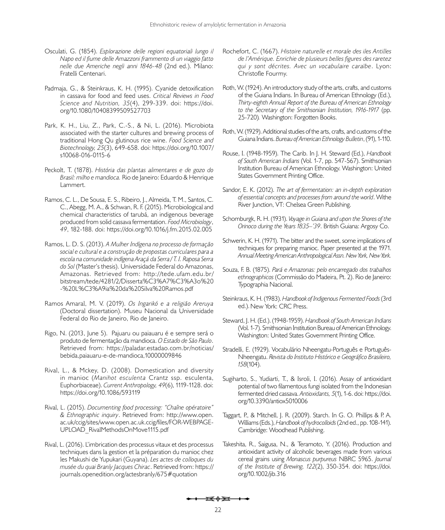- <span id="page-21-14"></span>Osculati, G. (1854). *Esplorazione delle regioni equatoriali lungo il Napo ed il fiume delle Amazzoni frammento di un viaggio fatto nelle due Americhe negli anni 1846-48* (2nd ed.). Milano: Fratelli Centenari.
- <span id="page-21-1"></span>Padmaja, G., & Steinkraus, K. H. (1995). Cyanide detoxification in cassava for food and feed uses. *Critical Reviews in Food Science and Nutrition, 35*(4), 299-339. doi: [https://doi.](https://doi.org/10.1080/10408399509527703) [org/10.1080/10408399509527703](https://doi.org/10.1080/10408399509527703)
- <span id="page-21-17"></span>Park, K. H., Liu, Z., Park, C.-S., & Ni, L. (2016). Microbiota associated with the starter cultures and brewing process of traditional Hong Qu glutinous rice wine. *Food Science and Biotechnology, 25*(3), 649-658. doi: [https://doi.org/10.1007/](https://doi.org/10.1007/s10068-016-0115-6) [s10068-016-0115-6](https://doi.org/10.1007/s10068-016-0115-6)
- <span id="page-21-12"></span>Peckolt, T. (1878). *História das plantas alimentares e de gozo do Brasil: milho e mandioca.* Rio de Janeiro: Eduardo & Henrique Lammert.
- <span id="page-21-22"></span>Ramos, C. L., De Sousa, E. S., Ribeiro, J., Almeida, T. M., Santos, C. C., Abegg, M. A., & Schwan, R. F. (2015). Microbiological and chemical characteristics of tarubá, an indigenous beverage produced from solid cassava fermentation. *Food Microbiology*, *49*, 182-188. doi:<https://doi.org/10.1016/j.fm.2015.02.005>
- <span id="page-21-2"></span>Ramos, L. D. S. (2013). *A Mulher Indígena no processo de formação social e cultural e a construção de propostas curriculares para a escola na comunidade indígena Araçá da Serra / T. I. Raposa Serra do Sol* (Master's thesis). Universidade Federal do Amazonas, Amazonas. Retrieved from: [http://tede.ufam.edu.br/](http://tede.ufam.edu.br/bitstream/tede/4281/2/Disserta%C3%A7%C3%A3o%20-%20L%C3%A9ia%20da%20Silva%20Ramos.pdf) [bitstream/tede/4281/2/Disserta%C3%A7%C3%A3o%20](http://tede.ufam.edu.br/bitstream/tede/4281/2/Disserta%C3%A7%C3%A3o%20-%20L%C3%A9ia%20da%20Silva%20Ramos.pdf) [-%20L%C3%A9ia%20da%20Silva%20Ramos.pdf](http://tede.ufam.edu.br/bitstream/tede/4281/2/Disserta%C3%A7%C3%A3o%20-%20L%C3%A9ia%20da%20Silva%20Ramos.pdf)
- <span id="page-21-6"></span>Ramos Amaral, M. V. (2019). *Os Ingarikó e a religião Areruya* (Doctoral dissertation). Museu Nacional da Universidade Federal do Rio de Janeiro, Rio de Janeiro.
- <span id="page-21-3"></span>Rigo, N. (2013, June 5). Pajuaru ou paiauaru é e sempre será o produto de fermentação da mandioca. *O Estado de São Paulo*. Retrieved from: [https://paladar.estadao.com.br/noticias/](https://paladar.estadao.com.br/noticias/bebida,paiauaru-e-de-mandioca,10000009846) [bebida,paiauaru-e-de-mandioca,10000009846](https://paladar.estadao.com.br/noticias/bebida,paiauaru-e-de-mandioca,10000009846)
- <span id="page-21-16"></span>Rival, L., & Mckey, D. (2008). Domestication and diversity in manioc (*Manihot esculenta* Crantz ssp. esculenta, Euphorbiaceae). *Current Anthropology, 49*(6), 1119-1128. doi: <https://doi.org/10.1086/593119>
- <span id="page-21-5"></span>Rival, L. (2015). *Documenting food processing: "Chaîne opératoire" & Ethnographic inquiry*. Retrieved from: [http://www.open.](http://www.open.ac.uk/ccig/sites/www.open.ac.uk.ccig/files/FOR-WEBPAGE-UPLOAD_RivalMethodsOnMove1115.pdf) [ac.uk/ccig/sites/www.open.ac.uk.ccig/files/FOR-WEBPAGE-](http://www.open.ac.uk/ccig/sites/www.open.ac.uk.ccig/files/FOR-WEBPAGE-UPLOAD_RivalMethodsOnMove1115.pdf)[UPLOAD\\_RivalMethodsOnMove1115.pdf](http://www.open.ac.uk/ccig/sites/www.open.ac.uk.ccig/files/FOR-WEBPAGE-UPLOAD_RivalMethodsOnMove1115.pdf)
- <span id="page-21-4"></span>Rival, L. (2016). L'imbrication des processus vitaux et des processus techniques dans la gestion et la préparation du manioc chez les Makushi de Yupukari (Guyana). *Les actes de colloques du musée du quai Branly Jacques Chirac*. Retrieved from: [https://](https://journals.openedition.org/actesbranly/675#quotation) [journals.openedition.org/actesbranly/675#quotation](https://journals.openedition.org/actesbranly/675#quotation)
- <span id="page-21-13"></span>Rochefort, C. (1667). *Histoire naturelle et morale des iles Antilles de l'Amérique. Enrichie de plusieurs belles figures des raretez qui y sont décrites. Avec un vocabulaire caraïbe*. Lyon: Christofle Fourmy.
- <span id="page-21-10"></span>Roth, W. (1924). An introductory study of the arts, crafts, and customs of the Guiana Indians. In Bureau of American Ethnology (Ed.), *Thirty-eighth Annual Report of the Bureau of American Ethnology to the Secretary of the Smithsonian Institution, 1916-1917* (pp. 25-720)*.* Washington: Forgotten Books.
- <span id="page-21-11"></span>Roth, W. (1929). Additional studies of the arts, crafts, and customs of the Guiana Indians. *Bureau of American Ethnology Bulletin*, (91), 1-110.
- <span id="page-21-15"></span>Rouse, I. (1948-1959). The Carib. In J. H. Steward (Ed.), *Handbook of South American Indians* (Vol. 1-7, pp. 547-567). Smithsonian Institution Bureau of American Ethnology. Washington: United States Government Printing Office.
- <span id="page-21-19"></span>Sandor, E. K. (2012). *The art of fermentation: an in-depth exploration of essential concepts and processes from around the world*. Withe River Junction, VT: Chelsea Green Publishing.
- <span id="page-21-20"></span>Schomburgk, R. H. (1931). *Voyage in Guiana and upon the Shores of the Orinoco during the Years 1835–'39*. British Guiana: Argosy Co.
- <span id="page-21-0"></span>Schwerin, K. H. (1971). The bitter and the sweet, some implications of techniques for preparing manioc. Paper presented at the 1971. *Annual Meeting American Anthropological Assn. New York, New York.*
- <span id="page-21-8"></span>Souza, F. B. (1875). *Pará e Amazonas: pelo encarregado dos trabalhos ethnographicos* (Commissão do Madeira, Pt. 2). Rio de Janeiro: Typographia Nacional.
- <span id="page-21-7"></span>Steinkraus, K. H. (1983). *Handbook of Indigenous Fermented Foods* (3rd ed.).New York: CRC Press.
- <span id="page-21-9"></span>Steward, J. H. (Ed.). (1948-1959). *Handbook of South American Indians* (Vol. 1-7). Smithsonian Institution Bureau of American Ethnology. Washington: United States Government Printing Office.
- <span id="page-21-23"></span>Stradelli, E. (1929). Vocabulário Nheengatu-Português e Português-Nheengatu. *Revista do Instituto Histórico e Geográfico Brasileiro, 158*(104).
- <span id="page-21-24"></span>Sugiharto, S., Yudiarti, T., & Isroli, I. (2016). Assay of antioxidant potential of two filamentous fungi isolated from the Indonesian fermented dried cassava. *Antioxidants, 5*(1), 1-6. doi: [https://doi.](https://doi.org/10.3390/antiox5010006) [org/10.3390/antiox5010006](https://doi.org/10.3390/antiox5010006)
- <span id="page-21-21"></span>Taggart, P., & Mitchell, J. R. (2009). Starch. In G. O. Phillips & P. A. Williams (Eds.), *Handbook of hydrocolloids* (2nd ed., pp. 108-141). Cambridge: Woodhead Publishing.
- <span id="page-21-18"></span>Takeshita, R., Saigusa, N., & Teramoto, Y. (2016). Production and antioxidant activity of alcoholic beverages made from various cereal grains using *Monascus purpureus* NBRC 5965. *Journal of the Institute of Brewing, 122*(2), 350-354. doi: [https://doi.](https://doi.org/10.1002/jib.316) [org/10.1002/jib.316](https://doi.org/10.1002/jib.316)

<del>is≬∑ +</del>